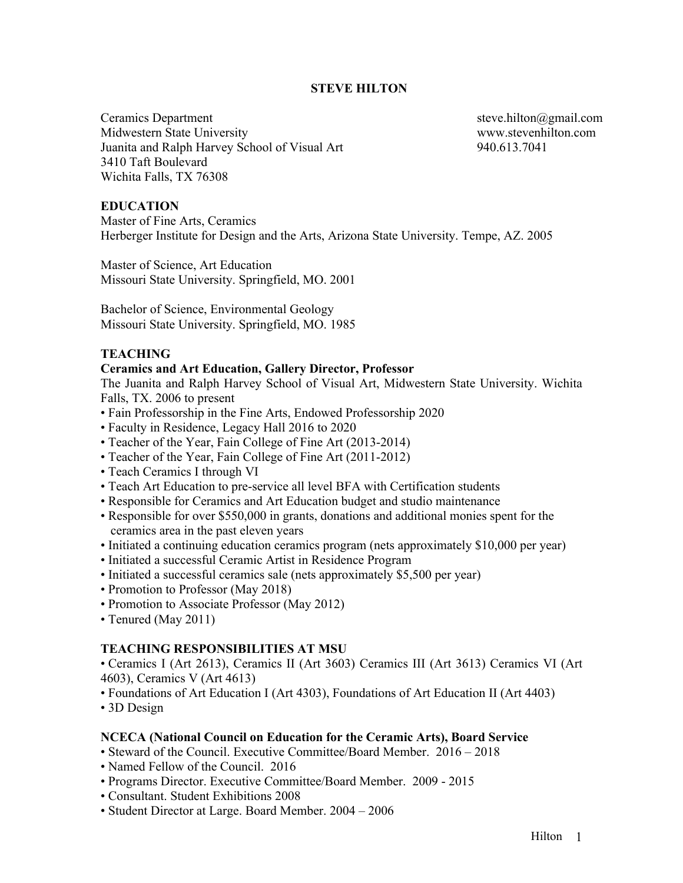# **STEVE HILTON**

Ceramics Department steve.hilton@gmail.com Midwestern State University www.stevenhilton.com Juanita and Ralph Harvey School of Visual Art 940.613.7041 3410 Taft Boulevard Wichita Falls, TX 76308

### **EDUCATION**

Master of Fine Arts, Ceramics Herberger Institute for Design and the Arts, Arizona State University. Tempe, AZ. 2005

Master of Science, Art Education Missouri State University. Springfield, MO. 2001

Bachelor of Science, Environmental Geology Missouri State University. Springfield, MO. 1985

#### **TEACHING**

### **Ceramics and Art Education, Gallery Director, Professor**

The Juanita and Ralph Harvey School of Visual Art, Midwestern State University. Wichita Falls, TX. 2006 to present

- Fain Professorship in the Fine Arts, Endowed Professorship 2020
- Faculty in Residence, Legacy Hall 2016 to 2020
- Teacher of the Year, Fain College of Fine Art (2013-2014)
- Teacher of the Year, Fain College of Fine Art (2011-2012)
- Teach Ceramics I through VI
- Teach Art Education to pre-service all level BFA with Certification students
- Responsible for Ceramics and Art Education budget and studio maintenance
- Responsible for over \$550,000 in grants, donations and additional monies spent for the ceramics area in the past eleven years
- Initiated a continuing education ceramics program (nets approximately \$10,000 per year)
- Initiated a successful Ceramic Artist in Residence Program
- Initiated a successful ceramics sale (nets approximately \$5,500 per year)
- Promotion to Professor (May 2018)
- Promotion to Associate Professor (May 2012)
- Tenured (May 2011)

## **TEACHING RESPONSIBILITIES AT MSU**

• Ceramics I (Art 2613), Ceramics II (Art 3603) Ceramics III (Art 3613) Ceramics VI (Art 4603), Ceramics V (Art 4613)

• Foundations of Art Education I (Art 4303), Foundations of Art Education II (Art 4403)

• 3D Design

#### **NCECA (National Council on Education for the Ceramic Arts), Board Service**

- Steward of the Council. Executive Committee/Board Member. 2016 2018
- Named Fellow of the Council. 2016
- Programs Director. Executive Committee/Board Member. 2009 2015
- Consultant. Student Exhibitions 2008
- Student Director at Large. Board Member. 2004 2006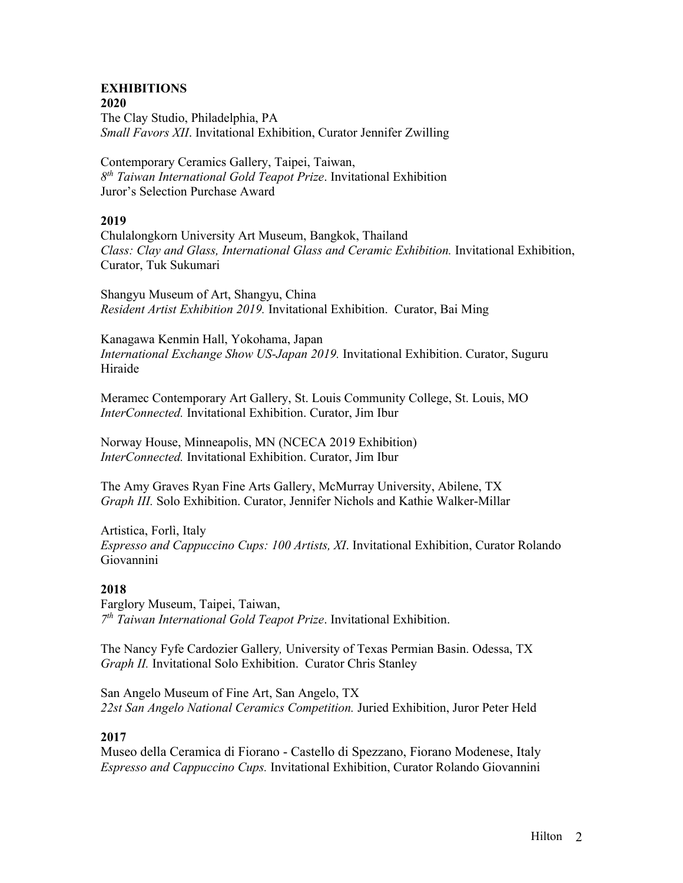### **EXHIBITIONS 2020**

The Clay Studio, Philadelphia, PA *Small Favors XII*. Invitational Exhibition, Curator Jennifer Zwilling

Contemporary Ceramics Gallery, Taipei, Taiwan, *8th Taiwan International Gold Teapot Prize*. Invitational Exhibition Juror's Selection Purchase Award

# **2019**

Chulalongkorn University Art Museum, Bangkok, Thailand *Class: Clay and Glass, International Glass and Ceramic Exhibition.* Invitational Exhibition, Curator, Tuk Sukumari

Shangyu Museum of Art, Shangyu, China *Resident Artist Exhibition 2019.* Invitational Exhibition. Curator, Bai Ming

Kanagawa Kenmin Hall, Yokohama, Japan *International Exchange Show US-Japan 2019.* Invitational Exhibition. Curator, Suguru Hiraide

Meramec Contemporary Art Gallery, St. Louis Community College, St. Louis, MO *InterConnected.* Invitational Exhibition. Curator, Jim Ibur

Norway House, Minneapolis, MN (NCECA 2019 Exhibition) *InterConnected.* Invitational Exhibition. Curator, Jim Ibur

The Amy Graves Ryan Fine Arts Gallery, McMurray University, Abilene, TX *Graph III.* Solo Exhibition. Curator, Jennifer Nichols and Kathie Walker-Millar

Artistica, Forlì, Italy *Espresso and Cappuccino Cups: 100 Artists, XI*. Invitational Exhibition, Curator Rolando Giovannini

# **2018**

Farglory Museum, Taipei, Taiwan, *7th Taiwan International Gold Teapot Prize*. Invitational Exhibition.

The Nancy Fyfe Cardozier Gallery*,* University of Texas Permian Basin. Odessa, TX *Graph II.* Invitational Solo Exhibition. Curator Chris Stanley

San Angelo Museum of Fine Art, San Angelo, TX *22st San Angelo National Ceramics Competition.* Juried Exhibition, Juror Peter Held

# **2017**

Museo della Ceramica di Fiorano - Castello di Spezzano, Fiorano Modenese, Italy *Espresso and Cappuccino Cups.* Invitational Exhibition, Curator Rolando Giovannini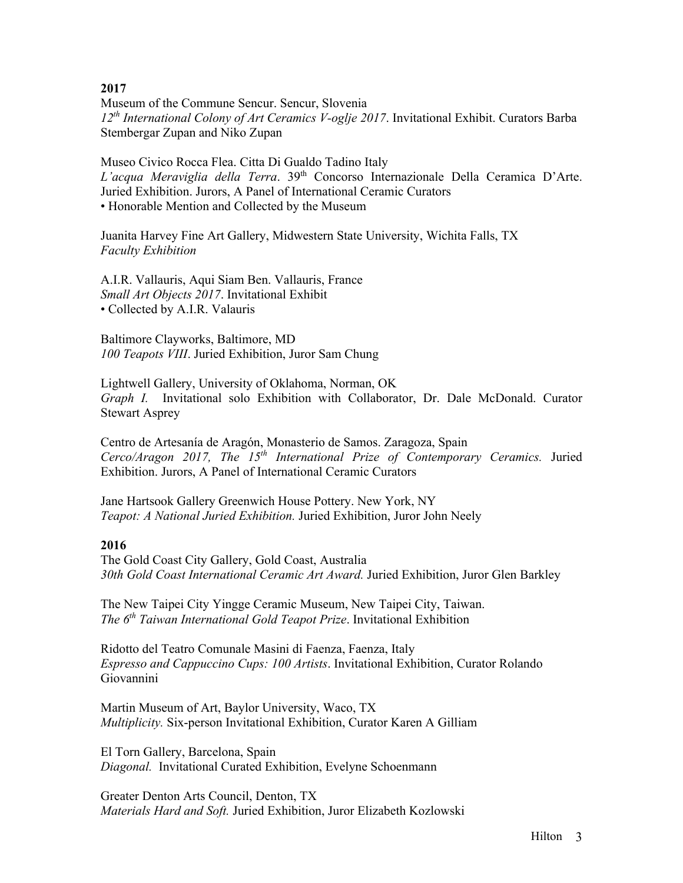Museum of the Commune Sencur. Sencur, Slovenia *12th International Colony of Art Ceramics V-oglje 2017*. Invitational Exhibit. Curators Barba Stembergar Zupan and Niko Zupan

Museo Civico Rocca Flea. Citta Di Gualdo Tadino Italy *L'acqua Meraviglia della Terra*. 39th Concorso Internazionale Della Ceramica D'Arte. Juried Exhibition. Jurors, A Panel of International Ceramic Curators • Honorable Mention and Collected by the Museum

Juanita Harvey Fine Art Gallery, Midwestern State University, Wichita Falls, TX *Faculty Exhibition*

A.I.R. Vallauris, Aqui Siam Ben. Vallauris, France *Small Art Objects 2017*. Invitational Exhibit • Collected by A.I.R. Valauris

Baltimore Clayworks, Baltimore, MD *100 Teapots VIII*. Juried Exhibition, Juror Sam Chung

Lightwell Gallery, University of Oklahoma, Norman, OK *Graph I.* Invitational solo Exhibition with Collaborator, Dr. Dale McDonald. Curator Stewart Asprey

Centro de Artesanía de Aragón, Monasterio de Samos. Zaragoza, Spain *Cerco/Aragon 2017, The 15th International Prize of Contemporary Ceramics.* Juried Exhibition. Jurors, A Panel of International Ceramic Curators

Jane Hartsook Gallery Greenwich House Pottery. New York, NY *Teapot: A National Juried Exhibition.* Juried Exhibition, Juror John Neely

# **2016**

The Gold Coast City Gallery, Gold Coast, Australia *30th Gold Coast International Ceramic Art Award.* Juried Exhibition, Juror Glen Barkley

The New Taipei City Yingge Ceramic Museum, New Taipei City, Taiwan. *The 6th Taiwan International Gold Teapot Prize*. Invitational Exhibition

Ridotto del Teatro Comunale Masini di Faenza, Faenza, Italy *Espresso and Cappuccino Cups: 100 Artists*. Invitational Exhibition, Curator Rolando Giovannini

Martin Museum of Art, Baylor University, Waco, TX *Multiplicity.* Six-person Invitational Exhibition, Curator Karen A Gilliam

El Torn Gallery, Barcelona, Spain *Diagonal.* Invitational Curated Exhibition, Evelyne Schoenmann

Greater Denton Arts Council, Denton, TX *Materials Hard and Soft.* Juried Exhibition, Juror Elizabeth Kozlowski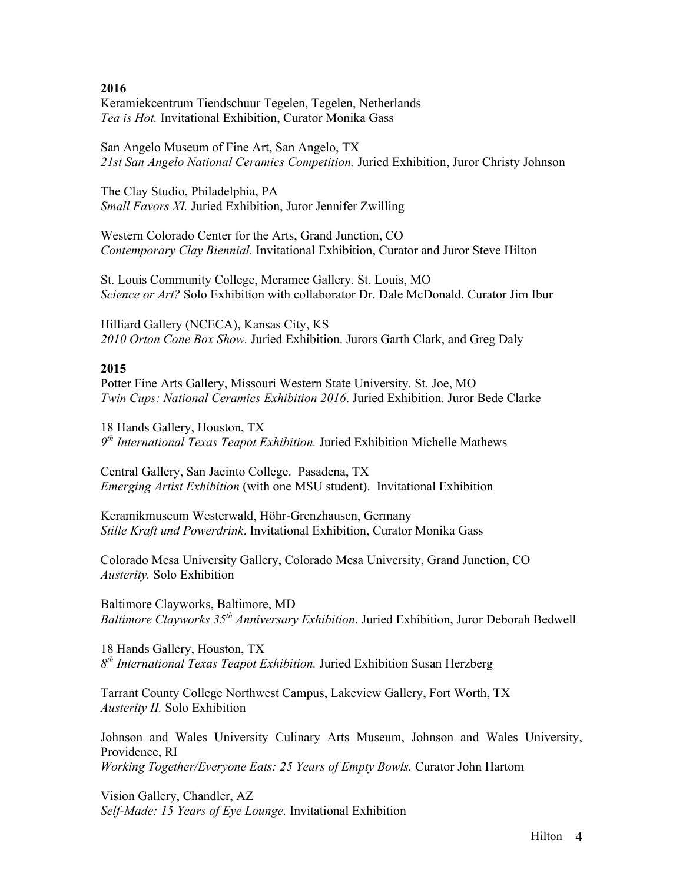Keramiekcentrum Tiendschuur Tegelen, Tegelen, Netherlands *Tea is Hot.* Invitational Exhibition, Curator Monika Gass

San Angelo Museum of Fine Art, San Angelo, TX *21st San Angelo National Ceramics Competition.* Juried Exhibition, Juror Christy Johnson

The Clay Studio, Philadelphia, PA *Small Favors XI.* Juried Exhibition, Juror Jennifer Zwilling

Western Colorado Center for the Arts, Grand Junction, CO *Contemporary Clay Biennial.* Invitational Exhibition, Curator and Juror Steve Hilton

St. Louis Community College, Meramec Gallery. St. Louis, MO *Science or Art?* Solo Exhibition with collaborator Dr. Dale McDonald. Curator Jim Ibur

Hilliard Gallery (NCECA), Kansas City, KS *2010 Orton Cone Box Show.* Juried Exhibition. Jurors Garth Clark, and Greg Daly

# **2015**

Potter Fine Arts Gallery, Missouri Western State University. St. Joe, MO *Twin Cups: National Ceramics Exhibition 2016*. Juried Exhibition. Juror Bede Clarke

18 Hands Gallery, Houston, TX *9th International Texas Teapot Exhibition.* Juried Exhibition Michelle Mathews

Central Gallery, San Jacinto College. Pasadena, TX *Emerging Artist Exhibition* (with one MSU student). Invitational Exhibition

Keramikmuseum Westerwald, Höhr-Grenzhausen, Germany *Stille Kraft und Powerdrink*. Invitational Exhibition, Curator Monika Gass

Colorado Mesa University Gallery, Colorado Mesa University, Grand Junction, CO *Austerity.* Solo Exhibition

Baltimore Clayworks, Baltimore, MD *Baltimore Clayworks 35th Anniversary Exhibition*. Juried Exhibition, Juror Deborah Bedwell

18 Hands Gallery, Houston, TX *8th International Texas Teapot Exhibition.* Juried Exhibition Susan Herzberg

Tarrant County College Northwest Campus, Lakeview Gallery, Fort Worth, TX *Austerity II.* Solo Exhibition

Johnson and Wales University Culinary Arts Museum, Johnson and Wales University, Providence, RI *Working Together/Everyone Eats: 25 Years of Empty Bowls.* Curator John Hartom

Vision Gallery, Chandler, AZ *Self-Made: 15 Years of Eye Lounge.* Invitational Exhibition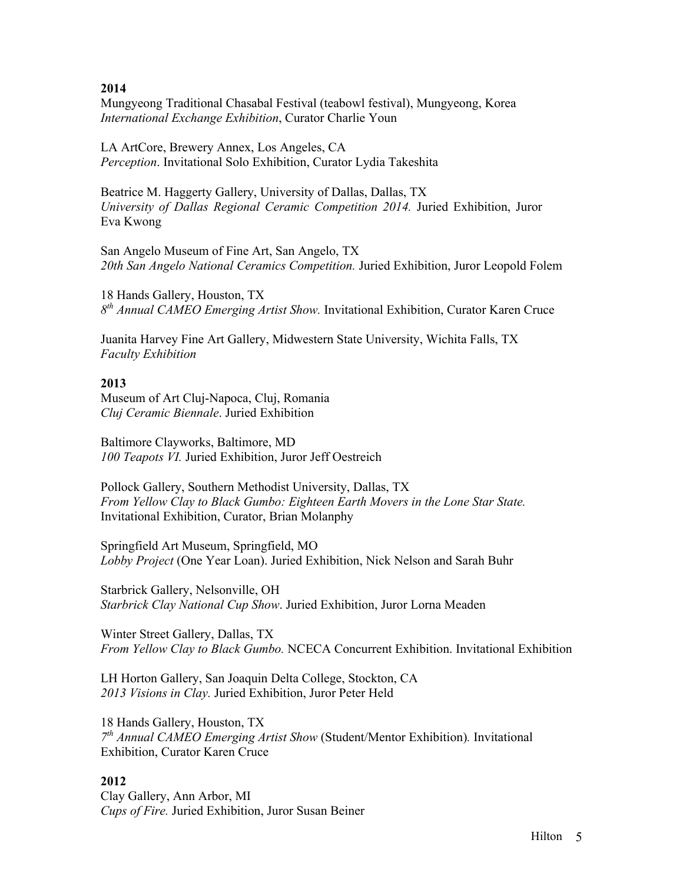Mungyeong Traditional Chasabal Festival (teabowl festival), Mungyeong, Korea *International Exchange Exhibition*, Curator Charlie Youn

LA ArtCore, Brewery Annex, Los Angeles, CA *Perception*. Invitational Solo Exhibition, Curator Lydia Takeshita

Beatrice M. Haggerty Gallery, University of Dallas, Dallas, TX *University of Dallas Regional Ceramic Competition 2014.* Juried Exhibition, Juror Eva Kwong

San Angelo Museum of Fine Art, San Angelo, TX *20th San Angelo National Ceramics Competition.* Juried Exhibition, Juror Leopold Folem

18 Hands Gallery, Houston, TX *8th Annual CAMEO Emerging Artist Show.* Invitational Exhibition, Curator Karen Cruce

Juanita Harvey Fine Art Gallery, Midwestern State University, Wichita Falls, TX *Faculty Exhibition*

### **2013**

Museum of Art Cluj-Napoca, Cluj, Romania *Cluj Ceramic Biennale*. Juried Exhibition

Baltimore Clayworks, Baltimore, MD *100 Teapots VI.* Juried Exhibition, Juror Jeff Oestreich

Pollock Gallery, Southern Methodist University, Dallas, TX *From Yellow Clay to Black Gumbo: Eighteen Earth Movers in the Lone Star State.*  Invitational Exhibition, Curator, Brian Molanphy

Springfield Art Museum, Springfield, MO *Lobby Project* (One Year Loan). Juried Exhibition, Nick Nelson and Sarah Buhr

Starbrick Gallery, Nelsonville, OH *Starbrick Clay National Cup Show*. Juried Exhibition, Juror Lorna Meaden

Winter Street Gallery, Dallas, TX *From Yellow Clay to Black Gumbo.* NCECA Concurrent Exhibition. Invitational Exhibition

LH Horton Gallery, San Joaquin Delta College, Stockton, CA *2013 Visions in Clay.* Juried Exhibition, Juror Peter Held

18 Hands Gallery, Houston, TX *7th Annual CAMEO Emerging Artist Show* (Student/Mentor Exhibition)*.* Invitational Exhibition, Curator Karen Cruce

### **2012**

Clay Gallery, Ann Arbor, MI *Cups of Fire.* Juried Exhibition, Juror Susan Beiner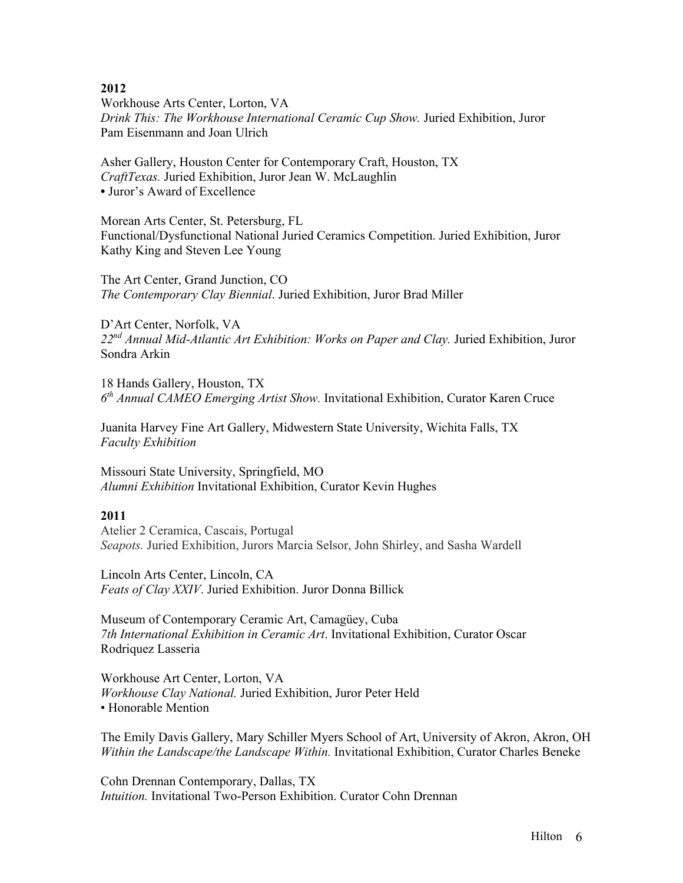Workhouse Arts Center, Lorton, VA *Drink This: The Workhouse International Ceramic Cup Show.* Juried Exhibition, Juror Pam Eisenmann and Joan Ulrich

Asher Gallery, Houston Center for Contemporary Craft, Houston, TX *CraftTexas.* Juried Exhibition, Juror Jean W. McLaughlin **•** Juror's Award of Excellence

Morean Arts Center, St. Petersburg, FL Functional/Dysfunctional National Juried Ceramics Competition. Juried Exhibition, Juror Kathy King and Steven Lee Young

The Art Center, Grand Junction, CO *The Contemporary Clay Biennial*. Juried Exhibition, Juror Brad Miller

D'Art Center, Norfolk, VA *22nd Annual Mid-Atlantic Art Exhibition: Works on Paper and Clay.* Juried Exhibition, Juror Sondra Arkin

18 Hands Gallery, Houston, TX *6th Annual CAMEO Emerging Artist Show.* Invitational Exhibition, Curator Karen Cruce

Juanita Harvey Fine Art Gallery, Midwestern State University, Wichita Falls, TX *Faculty Exhibition*

Missouri State University, Springfield, MO *Alumni Exhibition* Invitational Exhibition, Curator Kevin Hughes

# **2011**

Atelier 2 Ceramica, Cascais, Portugal *Seapots.* Juried Exhibition, Jurors Marcia Selsor, John Shirley, and Sasha Wardell

Lincoln Arts Center, Lincoln, CA *Feats of Clay XXIV*. Juried Exhibition. Juror Donna Billick

Museum of Contemporary Ceramic Art, Camagüey, Cuba *7th International Exhibition in Ceramic Art*. Invitational Exhibition, Curator Oscar Rodriquez Lasseria

Workhouse Art Center, Lorton, VA *Workhouse Clay National.* Juried Exhibition, Juror Peter Held • Honorable Mention

The Emily Davis Gallery, Mary Schiller Myers School of Art, University of Akron, Akron, OH *Within the Landscape/the Landscape Within.* Invitational Exhibition, Curator Charles Beneke

Cohn Drennan Contemporary, Dallas, TX *Intuition.* Invitational Two-Person Exhibition. Curator Cohn Drennan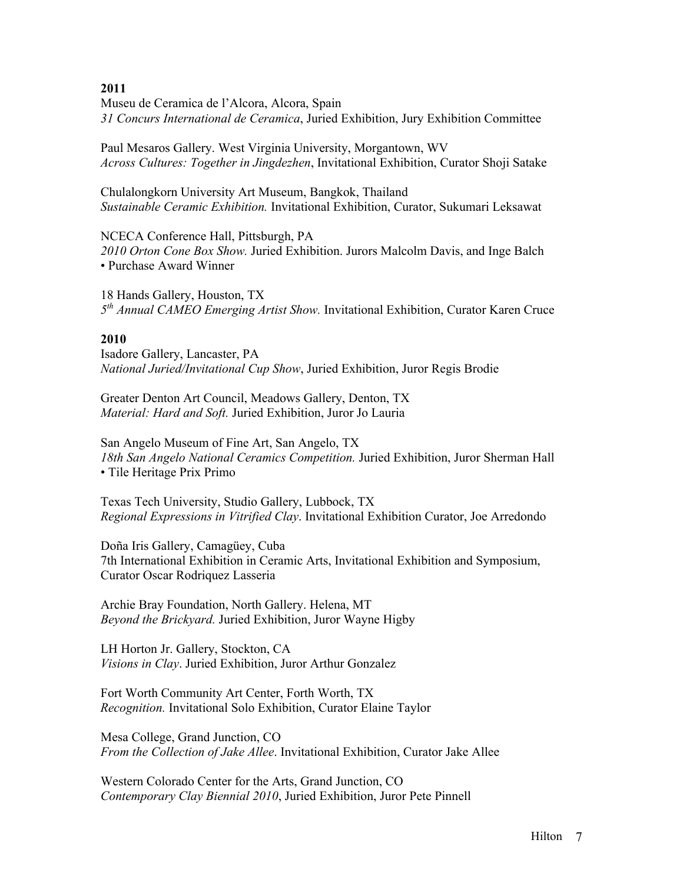Museu de Ceramica de l'Alcora, Alcora, Spain *31 Concurs International de Ceramica*, Juried Exhibition, Jury Exhibition Committee

Paul Mesaros Gallery. West Virginia University, Morgantown, WV *Across Cultures: Together in Jingdezhen*, Invitational Exhibition, Curator Shoji Satake

Chulalongkorn University Art Museum, Bangkok, Thailand *Sustainable Ceramic Exhibition.* Invitational Exhibition, Curator, Sukumari Leksawat

NCECA Conference Hall, Pittsburgh, PA *2010 Orton Cone Box Show.* Juried Exhibition. Jurors Malcolm Davis, and Inge Balch • Purchase Award Winner

18 Hands Gallery, Houston, TX *5th Annual CAMEO Emerging Artist Show.* Invitational Exhibition, Curator Karen Cruce

### **2010**

Isadore Gallery, Lancaster, PA *National Juried/Invitational Cup Show*, Juried Exhibition, Juror Regis Brodie

Greater Denton Art Council, Meadows Gallery, Denton, TX *Material: Hard and Soft.* Juried Exhibition, Juror Jo Lauria

San Angelo Museum of Fine Art, San Angelo, TX *18th San Angelo National Ceramics Competition.* Juried Exhibition, Juror Sherman Hall • Tile Heritage Prix Primo

Texas Tech University, Studio Gallery, Lubbock, TX *Regional Expressions in Vitrified Clay*. Invitational Exhibition Curator, Joe Arredondo

Doña Iris Gallery, Camagüey, Cuba 7th International Exhibition in Ceramic Arts, Invitational Exhibition and Symposium, Curator Oscar Rodriquez Lasseria

Archie Bray Foundation, North Gallery. Helena, MT *Beyond the Brickyard.* Juried Exhibition, Juror Wayne Higby

LH Horton Jr. Gallery, Stockton, CA *Visions in Clay*. Juried Exhibition, Juror Arthur Gonzalez

Fort Worth Community Art Center, Forth Worth, TX *Recognition.* Invitational Solo Exhibition, Curator Elaine Taylor

Mesa College, Grand Junction, CO *From the Collection of Jake Allee*. Invitational Exhibition, Curator Jake Allee

Western Colorado Center for the Arts, Grand Junction, CO *Contemporary Clay Biennial 2010*, Juried Exhibition, Juror Pete Pinnell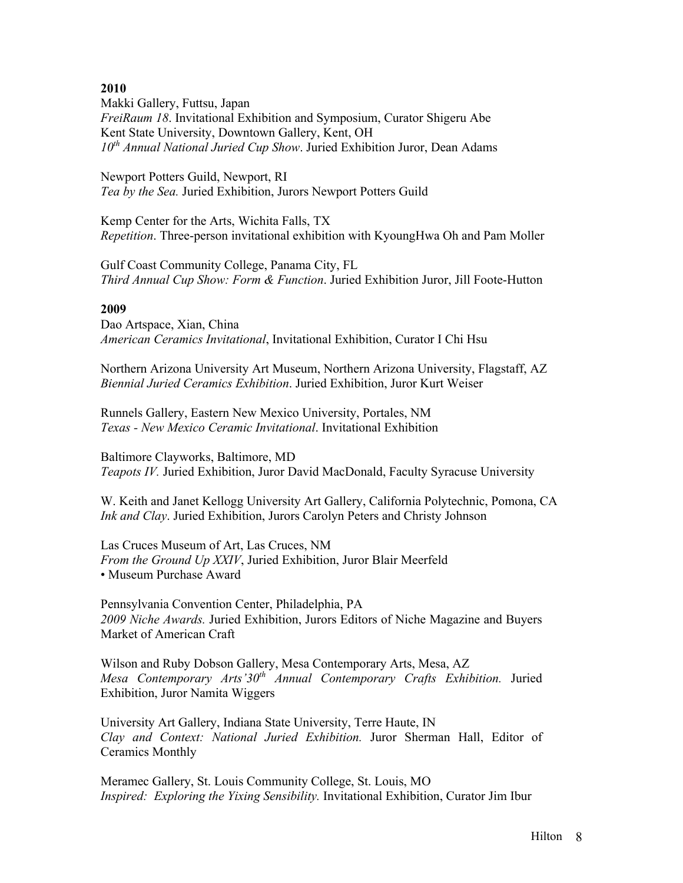Makki Gallery, Futtsu, Japan *FreiRaum 18*. Invitational Exhibition and Symposium, Curator Shigeru Abe Kent State University, Downtown Gallery, Kent, OH *10th Annual National Juried Cup Show*. Juried Exhibition Juror, Dean Adams

Newport Potters Guild, Newport, RI *Tea by the Sea.* Juried Exhibition, Jurors Newport Potters Guild

Kemp Center for the Arts, Wichita Falls, TX *Repetition*. Three-person invitational exhibition with KyoungHwa Oh and Pam Moller

Gulf Coast Community College, Panama City, FL *Third Annual Cup Show: Form & Function*. Juried Exhibition Juror, Jill Foote-Hutton

### **2009**

Dao Artspace, Xian, China *American Ceramics Invitational*, Invitational Exhibition, Curator I Chi Hsu

Northern Arizona University Art Museum, Northern Arizona University, Flagstaff, AZ *Biennial Juried Ceramics Exhibition*. Juried Exhibition, Juror Kurt Weiser

Runnels Gallery, Eastern New Mexico University, Portales, NM *Texas - New Mexico Ceramic Invitational*. Invitational Exhibition

Baltimore Clayworks, Baltimore, MD *Teapots IV.* Juried Exhibition, Juror David MacDonald, Faculty Syracuse University

W. Keith and Janet Kellogg University Art Gallery, California Polytechnic, Pomona, CA *Ink and Clay*. Juried Exhibition, Jurors Carolyn Peters and Christy Johnson

Las Cruces Museum of Art, Las Cruces, NM *From the Ground Up XXIV*, Juried Exhibition, Juror Blair Meerfeld • Museum Purchase Award

Pennsylvania Convention Center, Philadelphia, PA *2009 Niche Awards.* Juried Exhibition, Jurors Editors of Niche Magazine and Buyers Market of American Craft

Wilson and Ruby Dobson Gallery, Mesa Contemporary Arts, Mesa, AZ *Mesa Contemporary Arts'30th Annual Contemporary Crafts Exhibition.* Juried Exhibition, Juror Namita Wiggers

University Art Gallery, Indiana State University, Terre Haute, IN *Clay and Context: National Juried Exhibition.* Juror Sherman Hall, Editor of Ceramics Monthly

Meramec Gallery, St. Louis Community College, St. Louis, MO *Inspired: Exploring the Yixing Sensibility.* Invitational Exhibition, Curator Jim Ibur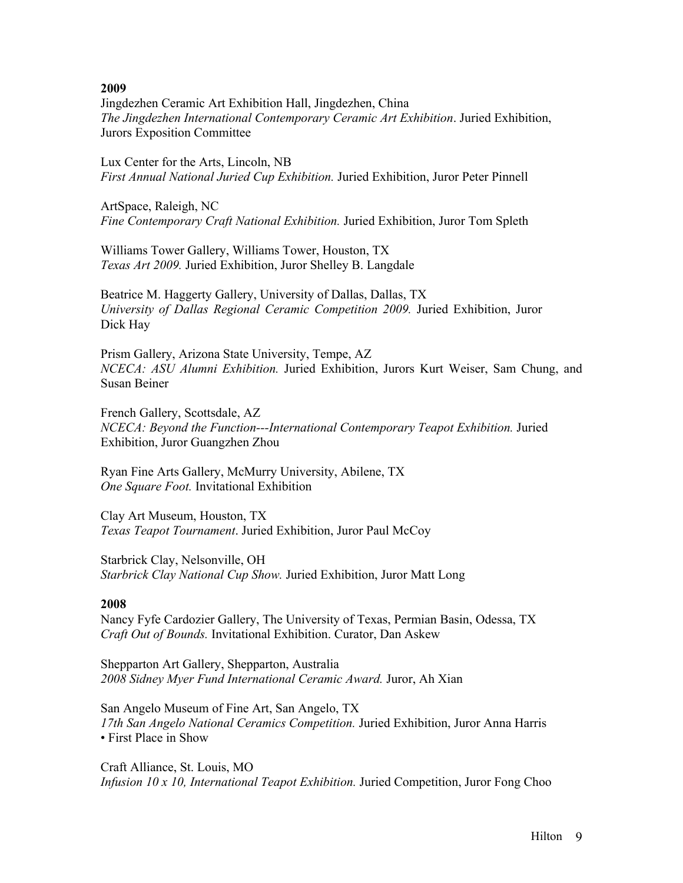Jingdezhen Ceramic Art Exhibition Hall, Jingdezhen, China *The Jingdezhen International Contemporary Ceramic Art Exhibition*. Juried Exhibition, Jurors Exposition Committee

Lux Center for the Arts, Lincoln, NB *First Annual National Juried Cup Exhibition.* Juried Exhibition, Juror Peter Pinnell

ArtSpace, Raleigh, NC *Fine Contemporary Craft National Exhibition.* Juried Exhibition, Juror Tom Spleth

Williams Tower Gallery, Williams Tower, Houston, TX *Texas Art 2009.* Juried Exhibition, Juror Shelley B. Langdale

Beatrice M. Haggerty Gallery, University of Dallas, Dallas, TX *University of Dallas Regional Ceramic Competition 2009.* Juried Exhibition, Juror Dick Hay

Prism Gallery, Arizona State University, Tempe, AZ *NCECA: ASU Alumni Exhibition.* Juried Exhibition, Jurors Kurt Weiser, Sam Chung, and Susan Beiner

French Gallery, Scottsdale, AZ *NCECA: Beyond the Function---International Contemporary Teapot Exhibition.* Juried Exhibition, Juror Guangzhen Zhou

Ryan Fine Arts Gallery, McMurry University, Abilene, TX *One Square Foot.* Invitational Exhibition

Clay Art Museum, Houston, TX *Texas Teapot Tournament*. Juried Exhibition, Juror Paul McCoy

Starbrick Clay, Nelsonville, OH *Starbrick Clay National Cup Show.* Juried Exhibition, Juror Matt Long

### **2008**

Nancy Fyfe Cardozier Gallery, The University of Texas, Permian Basin, Odessa, TX *Craft Out of Bounds.* Invitational Exhibition. Curator, Dan Askew

Shepparton Art Gallery, Shepparton, Australia *2008 Sidney Myer Fund International Ceramic Award.* Juror, Ah Xian

San Angelo Museum of Fine Art, San Angelo, TX *17th San Angelo National Ceramics Competition.* Juried Exhibition, Juror Anna Harris • First Place in Show

Craft Alliance, St. Louis, MO *Infusion 10 x 10, International Teapot Exhibition.* Juried Competition, Juror Fong Choo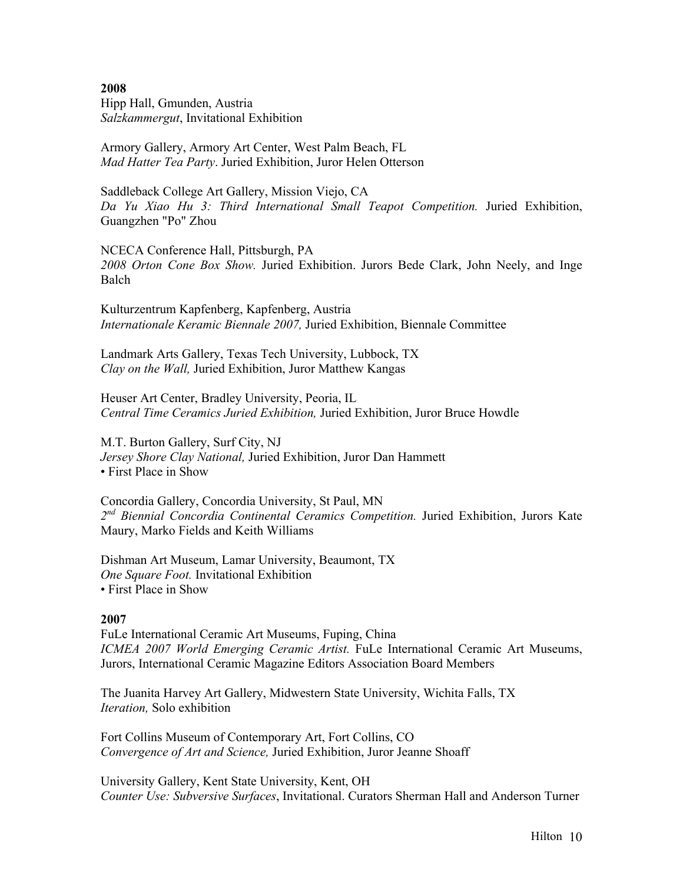**2008** Hipp Hall, Gmunden, Austria *Salzkammergut*, Invitational Exhibition

Armory Gallery, Armory Art Center, West Palm Beach, FL *Mad Hatter Tea Party*. Juried Exhibition, Juror Helen Otterson

Saddleback College Art Gallery, Mission Viejo, CA *Da Yu Xiao Hu 3: Third International Small Teapot Competition.* Juried Exhibition, Guangzhen "Po" Zhou

NCECA Conference Hall, Pittsburgh, PA *2008 Orton Cone Box Show.* Juried Exhibition. Jurors Bede Clark, John Neely, and Inge Balch

Kulturzentrum Kapfenberg, Kapfenberg, Austria *Internationale Keramic Biennale 2007,* Juried Exhibition, Biennale Committee

Landmark Arts Gallery, Texas Tech University, Lubbock, TX *Clay on the Wall,* Juried Exhibition, Juror Matthew Kangas

Heuser Art Center, Bradley University, Peoria, IL *Central Time Ceramics Juried Exhibition,* Juried Exhibition, Juror Bruce Howdle

M.T. Burton Gallery, Surf City, NJ *Jersey Shore Clay National,* Juried Exhibition, Juror Dan Hammett • First Place in Show

Concordia Gallery, Concordia University, St Paul, MN *2nd Biennial Concordia Continental Ceramics Competition.* Juried Exhibition, Jurors Kate Maury, Marko Fields and Keith Williams

Dishman Art Museum, Lamar University, Beaumont, TX *One Square Foot.* Invitational Exhibition • First Place in Show

#### **2007**

FuLe International Ceramic Art Museums, Fuping, China *ICMEA 2007 World Emerging Ceramic Artist.* FuLe International Ceramic Art Museums, Jurors, International Ceramic Magazine Editors Association Board Members

The Juanita Harvey Art Gallery, Midwestern State University, Wichita Falls, TX *Iteration,* Solo exhibition

Fort Collins Museum of Contemporary Art, Fort Collins, CO *Convergence of Art and Science,* Juried Exhibition, Juror Jeanne Shoaff

University Gallery, Kent State University, Kent, OH *Counter Use: Subversive Surfaces*, Invitational. Curators Sherman Hall and Anderson Turner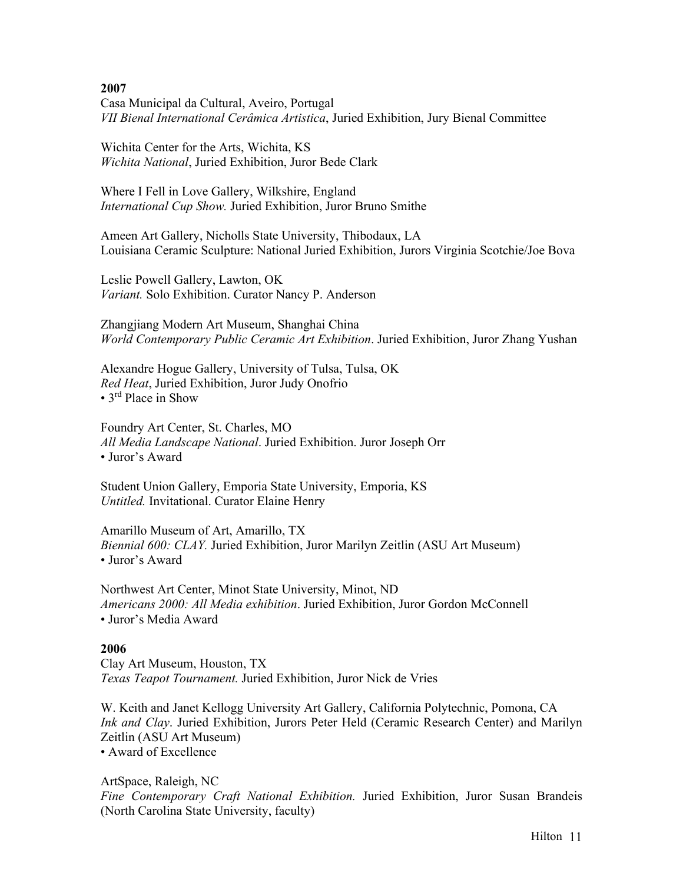Casa Municipal da Cultural, Aveiro, Portugal *VII Bienal International Cerâmica Artistica*, Juried Exhibition, Jury Bienal Committee

Wichita Center for the Arts, Wichita, KS *Wichita National*, Juried Exhibition, Juror Bede Clark

Where I Fell in Love Gallery, Wilkshire, England *International Cup Show.* Juried Exhibition, Juror Bruno Smithe

Ameen Art Gallery, Nicholls State University, Thibodaux, LA Louisiana Ceramic Sculpture: National Juried Exhibition, Jurors Virginia Scotchie/Joe Bova

Leslie Powell Gallery, Lawton, OK *Variant.* Solo Exhibition. Curator Nancy P. Anderson

Zhangjiang Modern Art Museum, Shanghai China *World Contemporary Public Ceramic Art Exhibition*. Juried Exhibition, Juror Zhang Yushan

Alexandre Hogue Gallery, University of Tulsa, Tulsa, OK *Red Heat*, Juried Exhibition, Juror Judy Onofrio • 3<sup>rd</sup> Place in Show

Foundry Art Center, St. Charles, MO *All Media Landscape National*. Juried Exhibition. Juror Joseph Orr • Juror's Award

Student Union Gallery, Emporia State University, Emporia, KS *Untitled.* Invitational. Curator Elaine Henry

Amarillo Museum of Art, Amarillo, TX *Biennial 600: CLAY.* Juried Exhibition, Juror Marilyn Zeitlin (ASU Art Museum) • Juror's Award

Northwest Art Center, Minot State University, Minot, ND *Americans 2000: All Media exhibition*. Juried Exhibition, Juror Gordon McConnell • Juror's Media Award

### **2006**

Clay Art Museum, Houston, TX *Texas Teapot Tournament.* Juried Exhibition, Juror Nick de Vries

W. Keith and Janet Kellogg University Art Gallery, California Polytechnic, Pomona, CA *Ink and Clay*. Juried Exhibition, Jurors Peter Held (Ceramic Research Center) and Marilyn Zeitlin (ASU Art Museum) • Award of Excellence

ArtSpace, Raleigh, NC *Fine Contemporary Craft National Exhibition.* Juried Exhibition, Juror Susan Brandeis (North Carolina State University, faculty)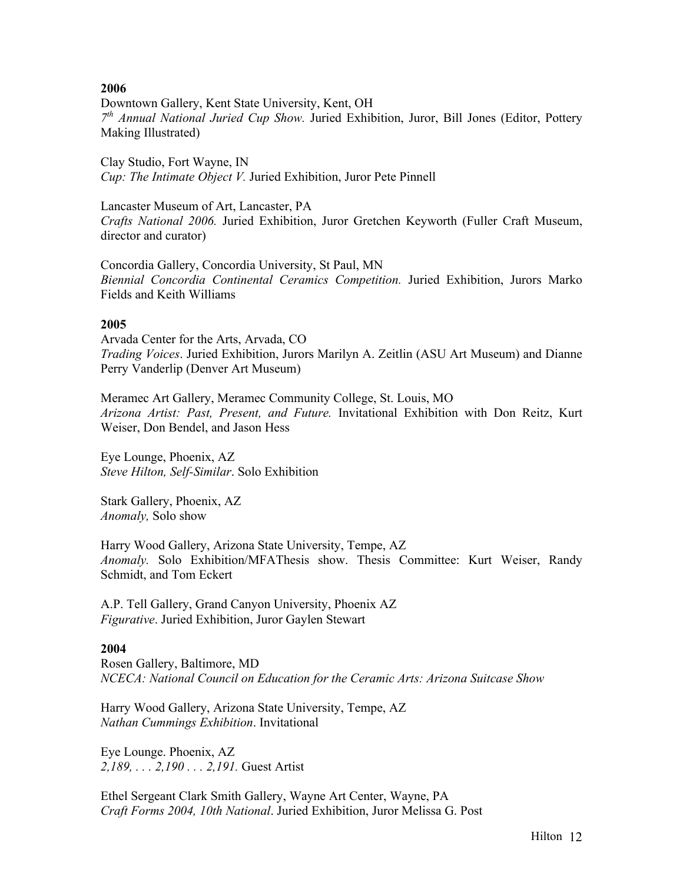Downtown Gallery, Kent State University, Kent, OH *7th Annual National Juried Cup Show.* Juried Exhibition, Juror, Bill Jones (Editor, Pottery Making Illustrated)

Clay Studio, Fort Wayne, IN *Cup: The Intimate Object V.* Juried Exhibition, Juror Pete Pinnell

Lancaster Museum of Art, Lancaster, PA *Crafts National 2006.* Juried Exhibition, Juror Gretchen Keyworth (Fuller Craft Museum, director and curator)

Concordia Gallery, Concordia University, St Paul, MN *Biennial Concordia Continental Ceramics Competition.* Juried Exhibition, Jurors Marko Fields and Keith Williams

### **2005**

Arvada Center for the Arts, Arvada, CO *Trading Voices*. Juried Exhibition, Jurors Marilyn A. Zeitlin (ASU Art Museum) and Dianne Perry Vanderlip (Denver Art Museum)

Meramec Art Gallery, Meramec Community College, St. Louis, MO *Arizona Artist: Past, Present, and Future.* Invitational Exhibition with Don Reitz, Kurt Weiser, Don Bendel, and Jason Hess

Eye Lounge, Phoenix, AZ *Steve Hilton, Self-Similar*. Solo Exhibition

Stark Gallery, Phoenix, AZ *Anomaly,* Solo show

Harry Wood Gallery, Arizona State University, Tempe, AZ *Anomaly.* Solo Exhibition/MFAThesis show. Thesis Committee: Kurt Weiser, Randy Schmidt, and Tom Eckert

A.P. Tell Gallery, Grand Canyon University, Phoenix AZ *Figurative*. Juried Exhibition, Juror Gaylen Stewart

### **2004**

Rosen Gallery, Baltimore, MD *NCECA: National Council on Education for the Ceramic Arts: Arizona Suitcase Show*

Harry Wood Gallery, Arizona State University, Tempe, AZ *Nathan Cummings Exhibition*. Invitational

Eye Lounge. Phoenix, AZ *2,189, . . . 2,190 . . . 2,191.* Guest Artist

Ethel Sergeant Clark Smith Gallery, Wayne Art Center, Wayne, PA *Craft Forms 2004, 10th National*. Juried Exhibition, Juror Melissa G. Post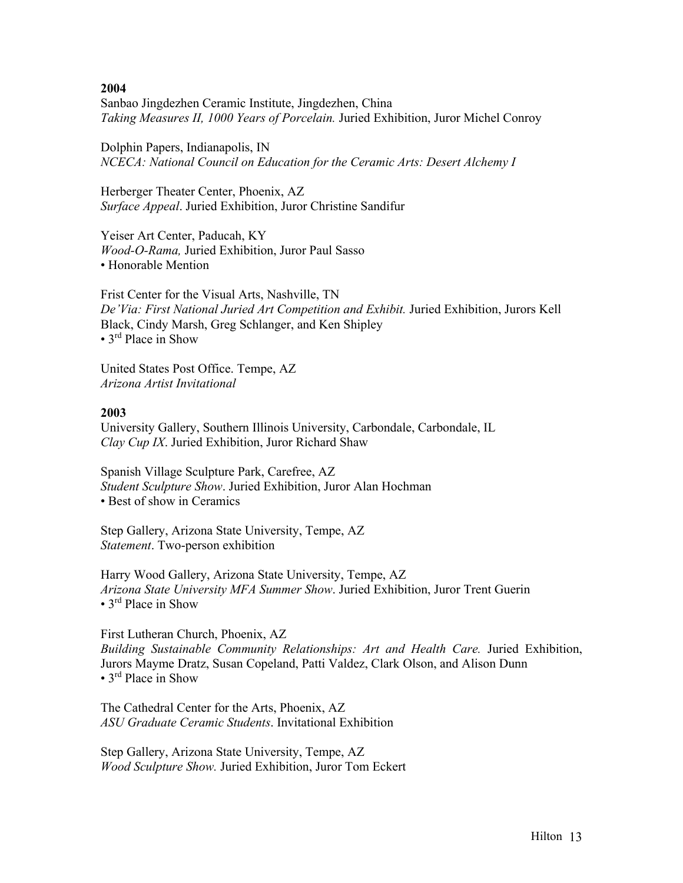Sanbao Jingdezhen Ceramic Institute, Jingdezhen, China *Taking Measures II, 1000 Years of Porcelain.* Juried Exhibition, Juror Michel Conroy

Dolphin Papers, Indianapolis, IN *NCECA: National Council on Education for the Ceramic Arts: Desert Alchemy I*

Herberger Theater Center, Phoenix, AZ *Surface Appeal*. Juried Exhibition, Juror Christine Sandifur

Yeiser Art Center, Paducah, KY *Wood-O-Rama,* Juried Exhibition, Juror Paul Sasso • Honorable Mention

Frist Center for the Visual Arts, Nashville, TN *De'Via: First National Juried Art Competition and Exhibit.* Juried Exhibition, Jurors Kell Black, Cindy Marsh, Greg Schlanger, and Ken Shipley • 3<sup>rd</sup> Place in Show

United States Post Office. Tempe, AZ *Arizona Artist Invitational*

### **2003**

University Gallery, Southern Illinois University, Carbondale, Carbondale, IL *Clay Cup IX*. Juried Exhibition, Juror Richard Shaw

Spanish Village Sculpture Park, Carefree, AZ *Student Sculpture Show*. Juried Exhibition, Juror Alan Hochman • Best of show in Ceramics

Step Gallery, Arizona State University, Tempe, AZ *Statement*. Two-person exhibition

Harry Wood Gallery, Arizona State University, Tempe, AZ *Arizona State University MFA Summer Show*. Juried Exhibition, Juror Trent Guerin • 3<sup>rd</sup> Place in Show

First Lutheran Church, Phoenix, AZ *Building Sustainable Community Relationships: Art and Health Care.* Juried Exhibition, Jurors Mayme Dratz, Susan Copeland, Patti Valdez, Clark Olson, and Alison Dunn • 3<sup>rd</sup> Place in Show

The Cathedral Center for the Arts, Phoenix, AZ *ASU Graduate Ceramic Students*. Invitational Exhibition

Step Gallery, Arizona State University, Tempe, AZ *Wood Sculpture Show.* Juried Exhibition, Juror Tom Eckert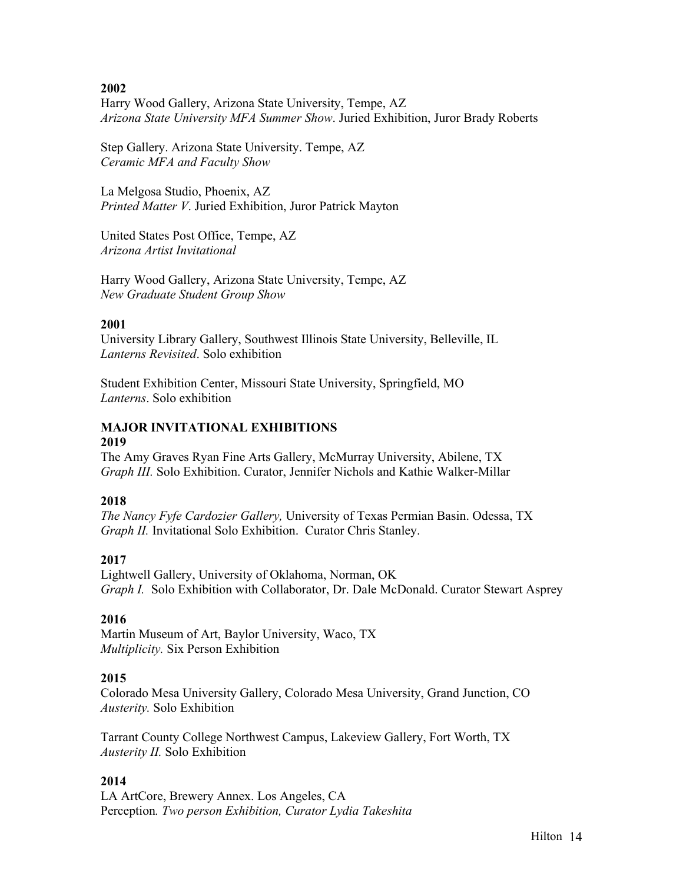Harry Wood Gallery, Arizona State University, Tempe, AZ *Arizona State University MFA Summer Show*. Juried Exhibition, Juror Brady Roberts

Step Gallery. Arizona State University. Tempe, AZ *Ceramic MFA and Faculty Show*

La Melgosa Studio, Phoenix, AZ *Printed Matter V*. Juried Exhibition, Juror Patrick Mayton

United States Post Office, Tempe, AZ *Arizona Artist Invitational*

Harry Wood Gallery, Arizona State University, Tempe, AZ *New Graduate Student Group Show*

# **2001**

University Library Gallery, Southwest Illinois State University, Belleville, IL *Lanterns Revisited*. Solo exhibition

Student Exhibition Center, Missouri State University, Springfield, MO *Lanterns*. Solo exhibition

# **MAJOR INVITATIONAL EXHIBITIONS**

# **2019**

The Amy Graves Ryan Fine Arts Gallery, McMurray University, Abilene, TX *Graph III.* Solo Exhibition. Curator, Jennifer Nichols and Kathie Walker-Millar

# **2018**

*The Nancy Fyfe Cardozier Gallery,* University of Texas Permian Basin. Odessa, TX *Graph II.* Invitational Solo Exhibition. Curator Chris Stanley.

# **2017**

Lightwell Gallery, University of Oklahoma, Norman, OK *Graph I.* Solo Exhibition with Collaborator, Dr. Dale McDonald. Curator Stewart Asprey

# **2016**

Martin Museum of Art, Baylor University, Waco, TX *Multiplicity.* Six Person Exhibition

# **2015**

Colorado Mesa University Gallery, Colorado Mesa University, Grand Junction, CO *Austerity.* Solo Exhibition

Tarrant County College Northwest Campus, Lakeview Gallery, Fort Worth, TX *Austerity II.* Solo Exhibition

# **2014**

LA ArtCore, Brewery Annex. Los Angeles, CA Perception*. Two person Exhibition, Curator Lydia Takeshita*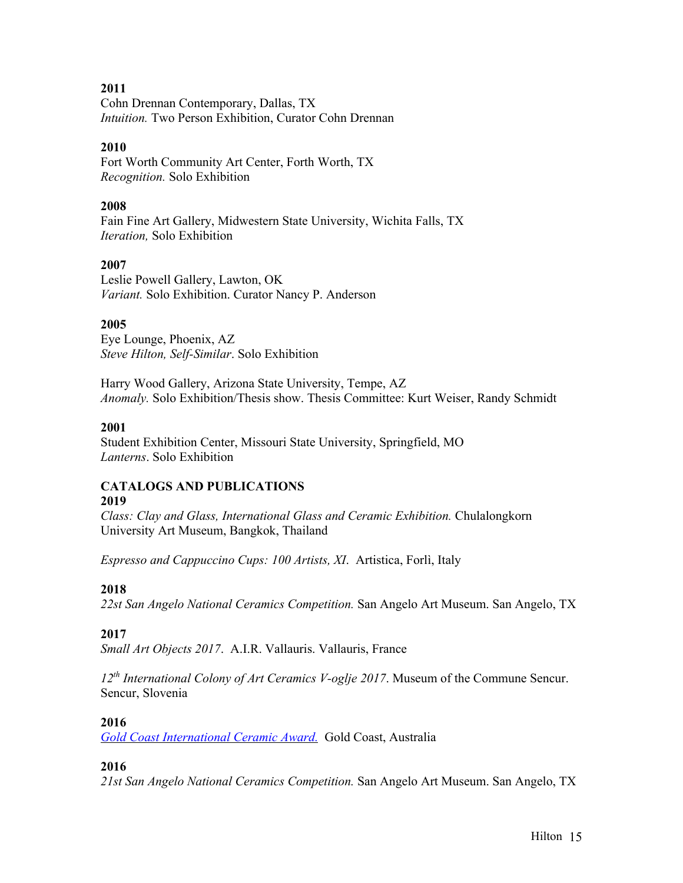Cohn Drennan Contemporary, Dallas, TX *Intuition.* Two Person Exhibition, Curator Cohn Drennan

# **2010**

Fort Worth Community Art Center, Forth Worth, TX *Recognition.* Solo Exhibition

# **2008**

Fain Fine Art Gallery, Midwestern State University, Wichita Falls, TX *Iteration,* Solo Exhibition

# **2007**

Leslie Powell Gallery, Lawton, OK *Variant.* Solo Exhibition. Curator Nancy P. Anderson

# **2005**

Eye Lounge, Phoenix, AZ *Steve Hilton, Self-Similar*. Solo Exhibition

Harry Wood Gallery, Arizona State University, Tempe, AZ *Anomaly.* Solo Exhibition/Thesis show. Thesis Committee: Kurt Weiser, Randy Schmidt

# **2001**

Student Exhibition Center, Missouri State University, Springfield, MO *Lanterns*. Solo Exhibition

# **CATALOGS AND PUBLICATIONS 2019**

*Class: Clay and Glass, International Glass and Ceramic Exhibition.* Chulalongkorn University Art Museum, Bangkok, Thailand

*Espresso and Cappuccino Cups: 100 Artists, XI*. Artistica, Forlì, Italy

# **2018**

*22st San Angelo National Ceramics Competition.* San Angelo Art Museum. San Angelo, TX

# **2017**

*Small Art Objects 2017*. A.I.R. Vallauris. Vallauris, France

*12th International Colony of Art Ceramics V-oglje 2017*. Museum of the Commune Sencur. Sencur, Slovenia

# **2016**

*Gold Coast International Ceramic Award.* Gold Coast, Australia

# **2016**

*21st San Angelo National Ceramics Competition.* San Angelo Art Museum. San Angelo, TX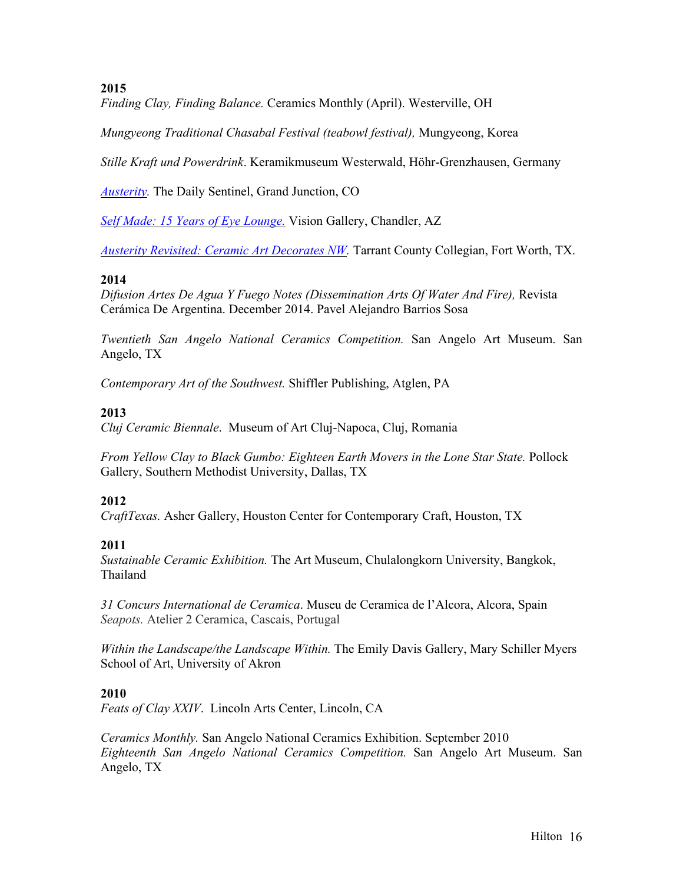*Finding Clay, Finding Balance.* Ceramics Monthly (April). Westerville, OH

*Mungyeong Traditional Chasabal Festival (teabowl festival),* Mungyeong, Korea

*Stille Kraft und Powerdrink*. Keramikmuseum Westerwald, Höhr-Grenzhausen, Germany

*Austerity.* The Daily Sentinel, Grand Junction, CO

*Self Made: 15 Years of Eye Lounge.* Vision Gallery, Chandler, AZ

*Austerity Revisited: Ceramic Art Decorates NW.* Tarrant County Collegian, Fort Worth, TX.

# **2014**

*Difusion Artes De Agua Y Fuego Notes (Dissemination Arts Of Water And Fire),* Revista Cerámica De Argentina. December 2014. Pavel Alejandro Barrios Sosa

*Twentieth San Angelo National Ceramics Competition.* San Angelo Art Museum. San Angelo, TX

*Contemporary Art of the Southwest.* Shiffler Publishing, Atglen, PA

# **2013**

*Cluj Ceramic Biennale*. Museum of Art Cluj-Napoca, Cluj, Romania

*From Yellow Clay to Black Gumbo: Eighteen Earth Movers in the Lone Star State.* Pollock Gallery, Southern Methodist University, Dallas, TX

# **2012**

*CraftTexas.* Asher Gallery, Houston Center for Contemporary Craft, Houston, TX

# **2011**

*Sustainable Ceramic Exhibition.* The Art Museum, Chulalongkorn University, Bangkok, Thailand

*31 Concurs International de Ceramica*. Museu de Ceramica de l'Alcora, Alcora, Spain *Seapots.* Atelier 2 Ceramica, Cascais, Portugal

*Within the Landscape/the Landscape Within.* The Emily Davis Gallery, Mary Schiller Myers School of Art, University of Akron

# **2010**

*Feats of Clay XXIV*. Lincoln Arts Center, Lincoln, CA

*Ceramics Monthly.* San Angelo National Ceramics Exhibition. September 2010 *Eighteenth San Angelo National Ceramics Competition.* San Angelo Art Museum. San Angelo, TX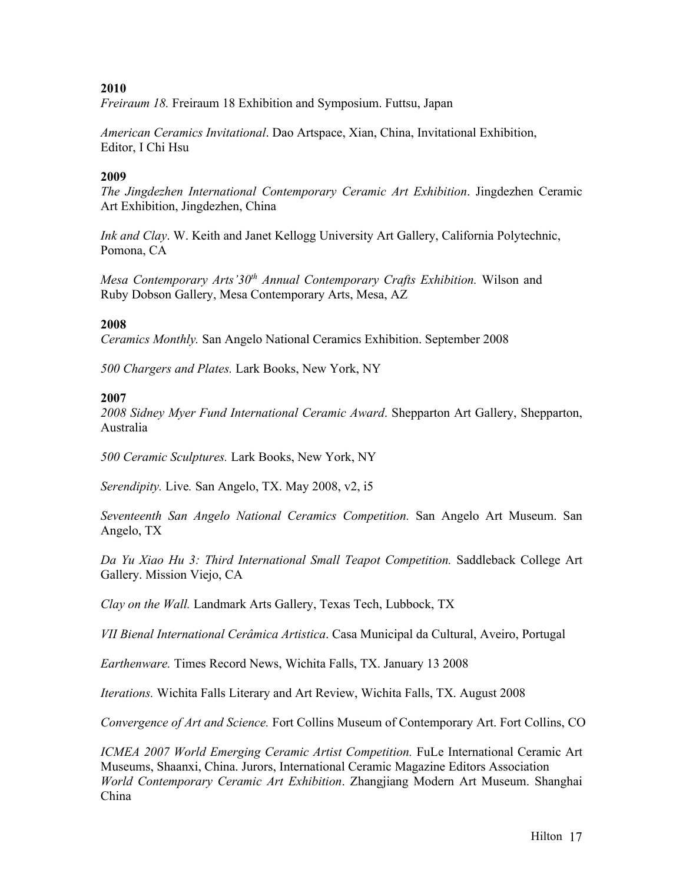*Freiraum 18.* Freiraum 18 Exhibition and Symposium. Futtsu, Japan

*American Ceramics Invitational*. Dao Artspace, Xian, China, Invitational Exhibition, Editor, I Chi Hsu

## **2009**

*The Jingdezhen International Contemporary Ceramic Art Exhibition*. Jingdezhen Ceramic Art Exhibition, Jingdezhen, China

*Ink and Clay*. W. Keith and Janet Kellogg University Art Gallery, California Polytechnic, Pomona, CA

*Mesa Contemporary Arts'30th Annual Contemporary Crafts Exhibition.* Wilson and Ruby Dobson Gallery, Mesa Contemporary Arts, Mesa, AZ

### **2008**

*Ceramics Monthly.* San Angelo National Ceramics Exhibition. September 2008

*500 Chargers and Plates.* Lark Books, New York, NY

### **2007**

*2008 Sidney Myer Fund International Ceramic Award*. Shepparton Art Gallery, Shepparton, Australia

*500 Ceramic Sculptures.* Lark Books, New York, NY

*Serendipity.* Live*.* San Angelo, TX. May 2008, v2, i5

*Seventeenth San Angelo National Ceramics Competition.* San Angelo Art Museum. San Angelo, TX

*Da Yu Xiao Hu 3: Third International Small Teapot Competition.* Saddleback College Art Gallery. Mission Viejo, CA

*Clay on the Wall.* Landmark Arts Gallery, Texas Tech, Lubbock, TX

*VII Bienal International Cerâmica Artistica*. Casa Municipal da Cultural, Aveiro, Portugal

*Earthenware.* Times Record News, Wichita Falls, TX. January 13 2008

*Iterations.* Wichita Falls Literary and Art Review, Wichita Falls, TX. August 2008

*Convergence of Art and Science.* Fort Collins Museum of Contemporary Art. Fort Collins, CO

*ICMEA 2007 World Emerging Ceramic Artist Competition.* FuLe International Ceramic Art Museums, Shaanxi, China. Jurors, International Ceramic Magazine Editors Association *World Contemporary Ceramic Art Exhibition*. Zhangjiang Modern Art Museum. Shanghai China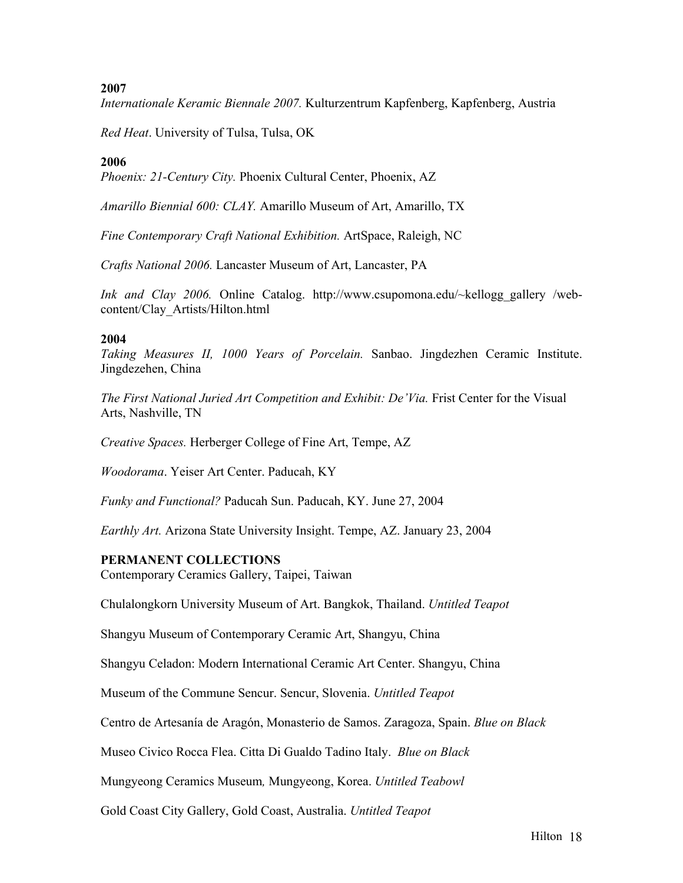*Internationale Keramic Biennale 2007.* Kulturzentrum Kapfenberg, Kapfenberg, Austria

*Red Heat*. University of Tulsa, Tulsa, OK

## **2006**

*Phoenix: 21-Century City.* Phoenix Cultural Center, Phoenix, AZ

*Amarillo Biennial 600: CLAY.* Amarillo Museum of Art, Amarillo, TX

*Fine Contemporary Craft National Exhibition.* ArtSpace, Raleigh, NC

*Crafts National 2006.* Lancaster Museum of Art, Lancaster, PA

*Ink and Clay 2006.* Online Catalog. http://www.csupomona.edu/~kellogg\_gallery /webcontent/Clay\_Artists/Hilton.html

### **2004**

*Taking Measures II, 1000 Years of Porcelain.* Sanbao. Jingdezhen Ceramic Institute. Jingdezehen, China

*The First National Juried Art Competition and Exhibit: De'Via. Frist Center for the Visual* Arts, Nashville, TN

*Creative Spaces.* Herberger College of Fine Art, Tempe, AZ

*Woodorama*. Yeiser Art Center. Paducah, KY

*Funky and Functional?* Paducah Sun. Paducah, KY. June 27, 2004

*Earthly Art.* Arizona State University Insight. Tempe, AZ. January 23, 2004

### **PERMANENT COLLECTIONS**

Contemporary Ceramics Gallery, Taipei, Taiwan

Chulalongkorn University Museum of Art. Bangkok, Thailand. *Untitled Teapot*

Shangyu Museum of Contemporary Ceramic Art, Shangyu, China

Shangyu Celadon: Modern International Ceramic Art Center. Shangyu, China

Museum of the Commune Sencur. Sencur, Slovenia. *Untitled Teapot*

Centro de Artesanía de Aragón, Monasterio de Samos. Zaragoza, Spain. *Blue on Black*

Museo Civico Rocca Flea. Citta Di Gualdo Tadino Italy. *Blue on Black*

Mungyeong Ceramics Museum*,* Mungyeong, Korea. *Untitled Teabowl*

Gold Coast City Gallery, Gold Coast, Australia. *Untitled Teapot*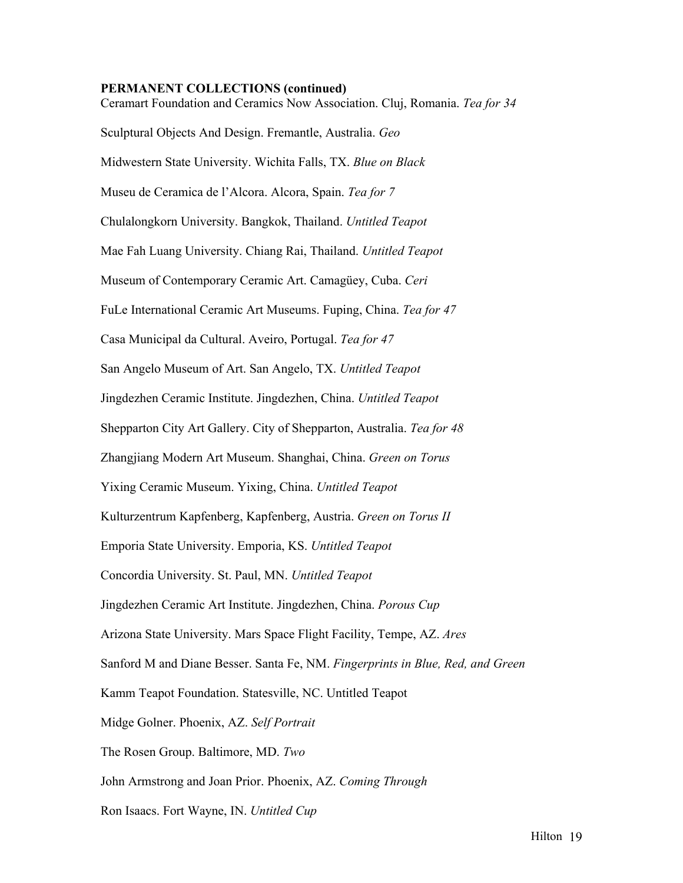#### **PERMANENT COLLECTIONS (continued)**

Ceramart Foundation and Ceramics Now Association. Cluj, Romania. *Tea for 34* Sculptural Objects And Design. Fremantle, Australia. *Geo* Midwestern State University. Wichita Falls, TX. *Blue on Black* Museu de Ceramica de l'Alcora. Alcora, Spain. *Tea for 7* Chulalongkorn University. Bangkok, Thailand. *Untitled Teapot* Mae Fah Luang University. Chiang Rai, Thailand. *Untitled Teapot* Museum of Contemporary Ceramic Art. Camagüey, Cuba. *Ceri*  FuLe International Ceramic Art Museums. Fuping, China. *Tea for 47* Casa Municipal da Cultural. Aveiro, Portugal. *Tea for 47* San Angelo Museum of Art. San Angelo, TX. *Untitled Teapot* Jingdezhen Ceramic Institute. Jingdezhen, China. *Untitled Teapot* Shepparton City Art Gallery. City of Shepparton, Australia. *Tea for 48*  Zhangjiang Modern Art Museum. Shanghai, China. *Green on Torus* Yixing Ceramic Museum. Yixing, China. *Untitled Teapot* Kulturzentrum Kapfenberg, Kapfenberg, Austria. *Green on Torus II* Emporia State University. Emporia, KS. *Untitled Teapot* Concordia University. St. Paul, MN. *Untitled Teapot* Jingdezhen Ceramic Art Institute. Jingdezhen, China. *Porous Cup* Arizona State University. Mars Space Flight Facility, Tempe, AZ. *Ares* Sanford M and Diane Besser. Santa Fe, NM. *Fingerprints in Blue, Red, and Green* Kamm Teapot Foundation. Statesville, NC. Untitled Teapot Midge Golner. Phoenix, AZ. *Self Portrait* The Rosen Group. Baltimore, MD. *Two* John Armstrong and Joan Prior. Phoenix, AZ. *Coming Through* Ron Isaacs. Fort Wayne, IN. *Untitled Cup*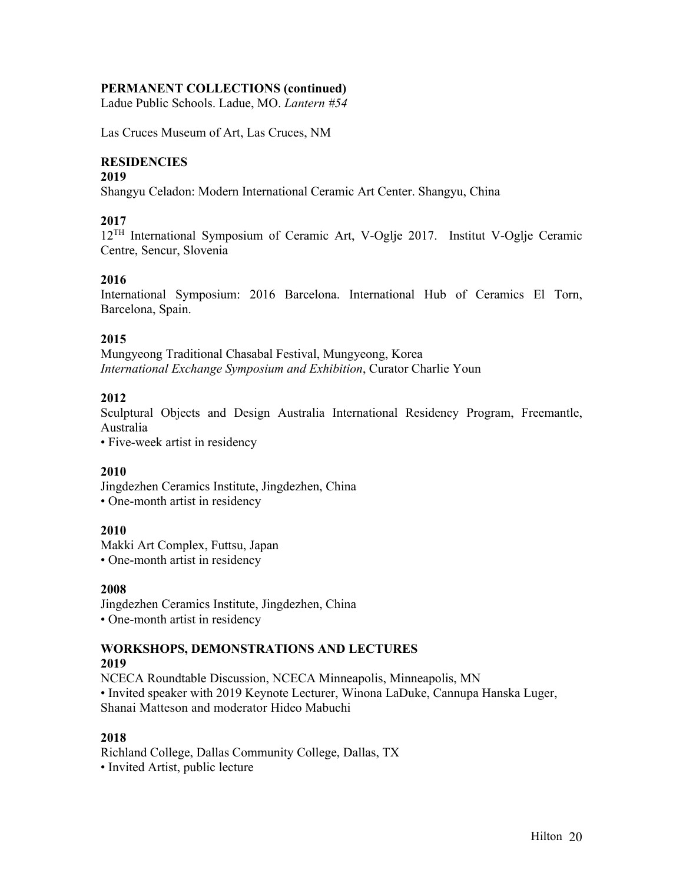# **PERMANENT COLLECTIONS (continued)**

Ladue Public Schools. Ladue, MO. *Lantern #54*

Las Cruces Museum of Art, Las Cruces, NM

# **RESIDENCIES**

### **2019**

Shangyu Celadon: Modern International Ceramic Art Center. Shangyu, China

# **2017**

12TH International Symposium of Ceramic Art, V-Oglje 2017. Institut V-Oglje Ceramic Centre, Sencur, Slovenia

### **2016**

International Symposium: 2016 Barcelona. International Hub of Ceramics El Torn, Barcelona, Spain.

### **2015**

Mungyeong Traditional Chasabal Festival, Mungyeong, Korea *International Exchange Symposium and Exhibition*, Curator Charlie Youn

# **2012**

Sculptural Objects and Design Australia International Residency Program, Freemantle, Australia

• Five-week artist in residency

# **2010**

Jingdezhen Ceramics Institute, Jingdezhen, China • One-month artist in residency

### **2010**

Makki Art Complex, Futtsu, Japan

• One-month artist in residency

### **2008**

Jingdezhen Ceramics Institute, Jingdezhen, China • One-month artist in residency

#### **WORKSHOPS, DEMONSTRATIONS AND LECTURES 2019**

NCECA Roundtable Discussion, NCECA Minneapolis, Minneapolis, MN • Invited speaker with 2019 Keynote Lecturer, Winona LaDuke, Cannupa Hanska Luger, Shanai Matteson and moderator Hideo Mabuchi

### **2018**

Richland College, Dallas Community College, Dallas, TX • Invited Artist, public lecture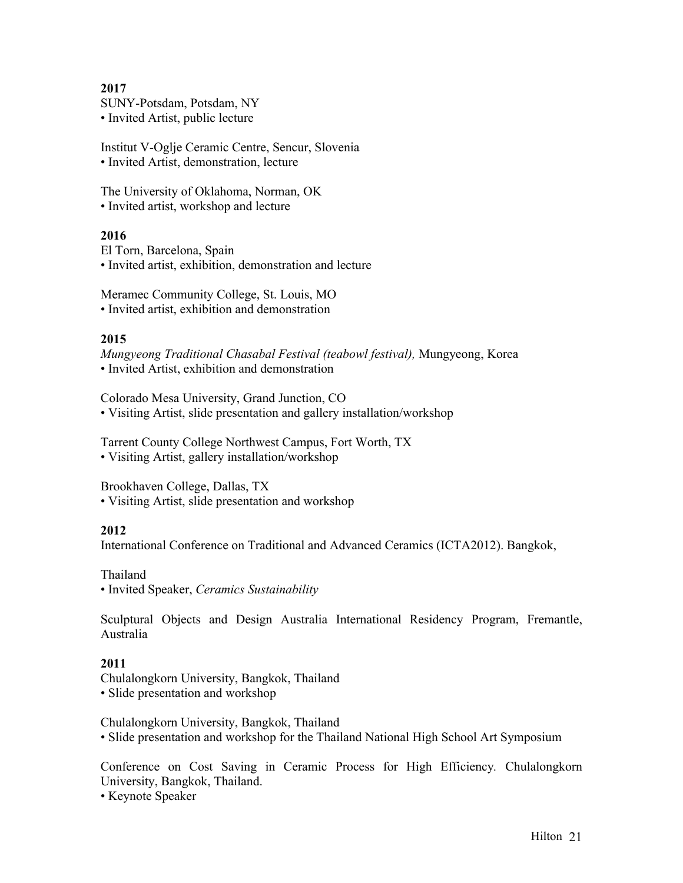SUNY-Potsdam, Potsdam, NY • Invited Artist, public lecture

Institut V-Oglje Ceramic Centre, Sencur, Slovenia • Invited Artist, demonstration, lecture

The University of Oklahoma, Norman, OK • Invited artist, workshop and lecture

# **2016**

El Torn, Barcelona, Spain • Invited artist, exhibition, demonstration and lecture

Meramec Community College, St. Louis, MO • Invited artist, exhibition and demonstration

### **2015**

*Mungyeong Traditional Chasabal Festival (teabowl festival),* Mungyeong, Korea • Invited Artist, exhibition and demonstration

Colorado Mesa University, Grand Junction, CO • Visiting Artist, slide presentation and gallery installation/workshop

Tarrent County College Northwest Campus, Fort Worth, TX • Visiting Artist, gallery installation/workshop

Brookhaven College, Dallas, TX • Visiting Artist, slide presentation and workshop

# **2012**

International Conference on Traditional and Advanced Ceramics (ICTA2012). Bangkok,

Thailand • Invited Speaker, *Ceramics Sustainability*

Sculptural Objects and Design Australia International Residency Program, Fremantle, Australia

# **2011**

Chulalongkorn University, Bangkok, Thailand • Slide presentation and workshop

Chulalongkorn University, Bangkok, Thailand • Slide presentation and workshop for the Thailand National High School Art Symposium

Conference on Cost Saving in Ceramic Process for High Efficiency*.* Chulalongkorn University, Bangkok, Thailand.

• Keynote Speaker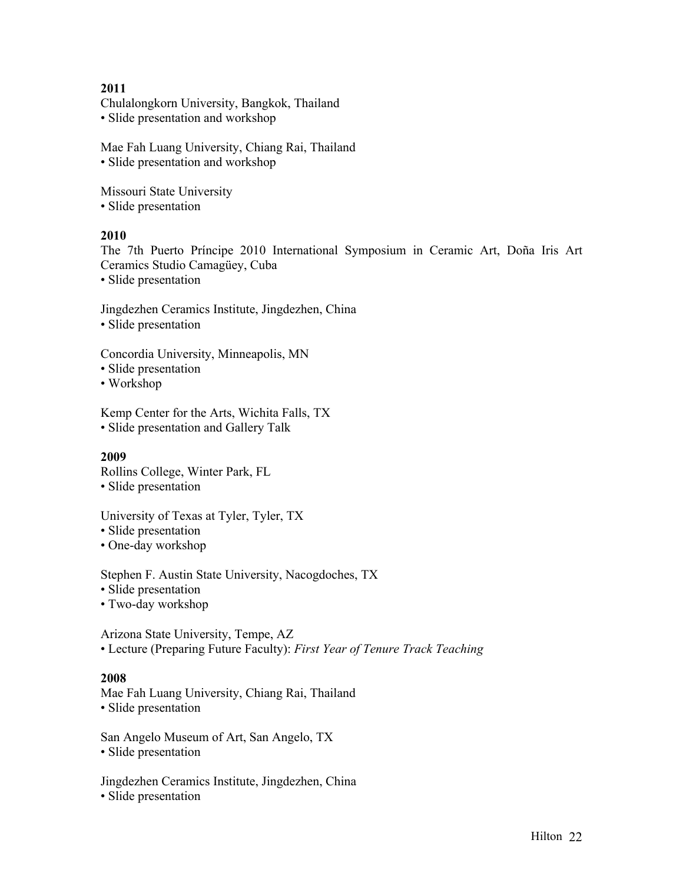Chulalongkorn University, Bangkok, Thailand • Slide presentation and workshop

Mae Fah Luang University, Chiang Rai, Thailand • Slide presentation and workshop

Missouri State University • Slide presentation

# **2010**

The 7th Puerto Príncipe 2010 International Symposium in Ceramic Art, Doña Iris Art Ceramics Studio Camagüey, Cuba

• Slide presentation

Jingdezhen Ceramics Institute, Jingdezhen, China • Slide presentation

Concordia University, Minneapolis, MN

- Slide presentation
- Workshop

Kemp Center for the Arts, Wichita Falls, TX • Slide presentation and Gallery Talk

### **2009**

Rollins College, Winter Park, FL

• Slide presentation

University of Texas at Tyler, Tyler, TX

- Slide presentation
- One-day workshop

Stephen F. Austin State University, Nacogdoches, TX

• Slide presentation

• Two-day workshop

Arizona State University, Tempe, AZ • Lecture (Preparing Future Faculty): *First Year of Tenure Track Teaching*

### **2008**

Mae Fah Luang University, Chiang Rai, Thailand • Slide presentation

San Angelo Museum of Art, San Angelo, TX • Slide presentation

Jingdezhen Ceramics Institute, Jingdezhen, China • Slide presentation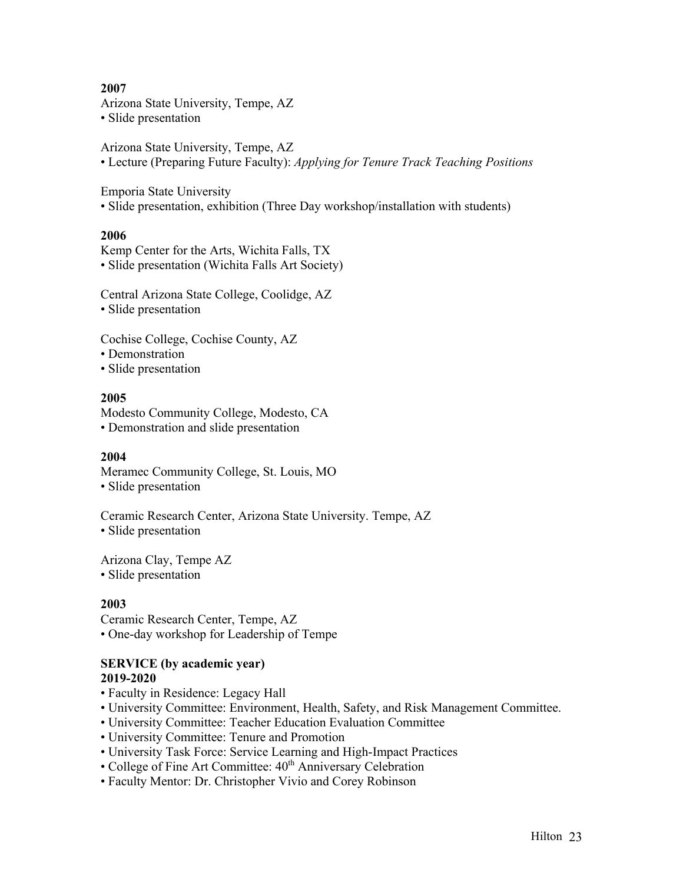Arizona State University, Tempe, AZ • Slide presentation

Arizona State University, Tempe, AZ • Lecture (Preparing Future Faculty): *Applying for Tenure Track Teaching Positions*

Emporia State University

• Slide presentation, exhibition (Three Day workshop/installation with students)

### **2006**

Kemp Center for the Arts, Wichita Falls, TX • Slide presentation (Wichita Falls Art Society)

Central Arizona State College, Coolidge, AZ • Slide presentation

Cochise College, Cochise County, AZ

• Demonstration

• Slide presentation

### **2005**

Modesto Community College, Modesto, CA • Demonstration and slide presentation

### **2004**

Meramec Community College, St. Louis, MO

• Slide presentation

Ceramic Research Center, Arizona State University. Tempe, AZ

• Slide presentation

Arizona Clay, Tempe AZ • Slide presentation

### **2003**

Ceramic Research Center, Tempe, AZ • One-day workshop for Leadership of Tempe

### **SERVICE (by academic year) 2019-2020**

- Faculty in Residence: Legacy Hall
- University Committee: Environment, Health, Safety, and Risk Management Committee.
- University Committee: Teacher Education Evaluation Committee
- University Committee: Tenure and Promotion
- University Task Force: Service Learning and High-Impact Practices
- College of Fine Art Committee: 40<sup>th</sup> Anniversary Celebration
- Faculty Mentor: Dr. Christopher Vivio and Corey Robinson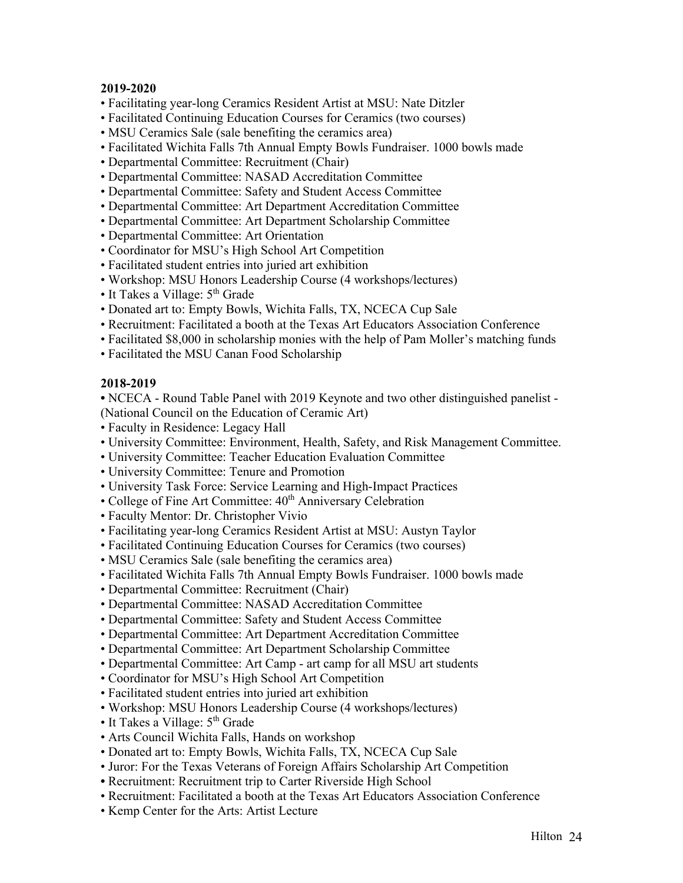- Facilitating year-long Ceramics Resident Artist at MSU: Nate Ditzler
- Facilitated Continuing Education Courses for Ceramics (two courses)
- MSU Ceramics Sale (sale benefiting the ceramics area)
- Facilitated Wichita Falls 7th Annual Empty Bowls Fundraiser. 1000 bowls made
- Departmental Committee: Recruitment (Chair)
- Departmental Committee: NASAD Accreditation Committee
- Departmental Committee: Safety and Student Access Committee
- Departmental Committee: Art Department Accreditation Committee
- Departmental Committee: Art Department Scholarship Committee
- Departmental Committee: Art Orientation
- Coordinator for MSU's High School Art Competition
- Facilitated student entries into juried art exhibition
- Workshop: MSU Honors Leadership Course (4 workshops/lectures)
- It Takes a Village:  $5<sup>th</sup>$  Grade
- Donated art to: Empty Bowls, Wichita Falls, TX, NCECA Cup Sale
- Recruitment: Facilitated a booth at the Texas Art Educators Association Conference
- Facilitated \$8,000 in scholarship monies with the help of Pam Moller's matching funds
- Facilitated the MSU Canan Food Scholarship

### **2018-2019**

**•** NCECA - Round Table Panel with 2019 Keynote and two other distinguished panelist - (National Council on the Education of Ceramic Art)

- Faculty in Residence: Legacy Hall
- University Committee: Environment, Health, Safety, and Risk Management Committee.
- University Committee: Teacher Education Evaluation Committee
- University Committee: Tenure and Promotion
- University Task Force: Service Learning and High-Impact Practices
- College of Fine Art Committee: 40<sup>th</sup> Anniversary Celebration
- Faculty Mentor: Dr. Christopher Vivio
- Facilitating year-long Ceramics Resident Artist at MSU: Austyn Taylor
- Facilitated Continuing Education Courses for Ceramics (two courses)
- MSU Ceramics Sale (sale benefiting the ceramics area)
- Facilitated Wichita Falls 7th Annual Empty Bowls Fundraiser. 1000 bowls made
- Departmental Committee: Recruitment (Chair)
- Departmental Committee: NASAD Accreditation Committee
- Departmental Committee: Safety and Student Access Committee
- Departmental Committee: Art Department Accreditation Committee
- Departmental Committee: Art Department Scholarship Committee
- Departmental Committee: Art Camp art camp for all MSU art students
- Coordinator for MSU's High School Art Competition
- Facilitated student entries into juried art exhibition
- Workshop: MSU Honors Leadership Course (4 workshops/lectures)
- It Takes a Village:  $5<sup>th</sup>$  Grade
- Arts Council Wichita Falls, Hands on workshop
- Donated art to: Empty Bowls, Wichita Falls, TX, NCECA Cup Sale
- Juror: For the Texas Veterans of Foreign Affairs Scholarship Art Competition
- Recruitment: Recruitment trip to Carter Riverside High School
- Recruitment: Facilitated a booth at the Texas Art Educators Association Conference
- Kemp Center for the Arts: Artist Lecture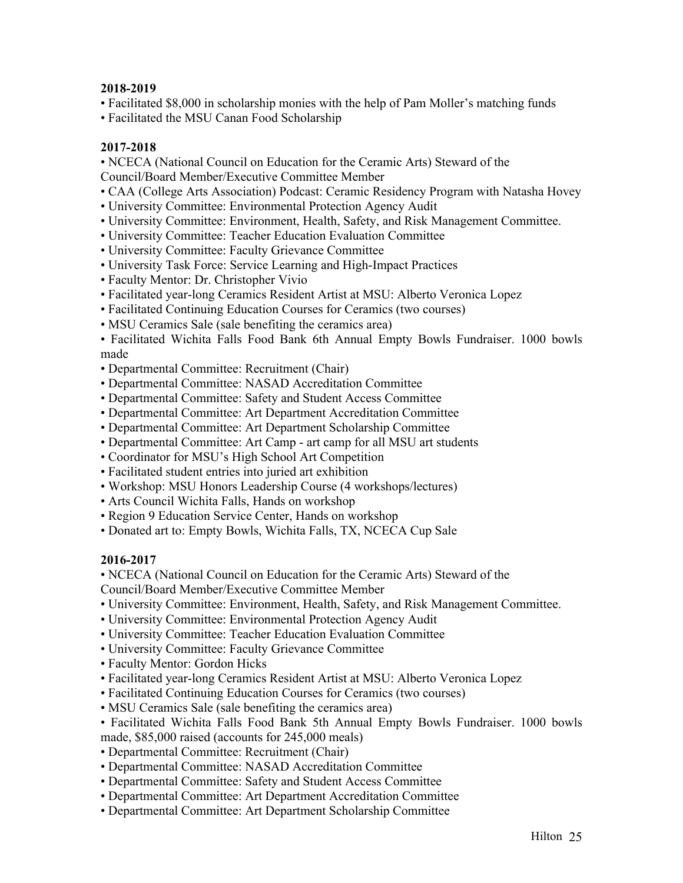- Facilitated \$8,000 in scholarship monies with the help of Pam Moller's matching funds
- Facilitated the MSU Canan Food Scholarship

### **2017-2018**

• NCECA (National Council on Education for the Ceramic Arts) Steward of the

- Council/Board Member/Executive Committee Member
- CAA (College Arts Association) Podcast: Ceramic Residency Program with Natasha Hovey
- University Committee: Environmental Protection Agency Audit
- University Committee: Environment, Health, Safety, and Risk Management Committee.
- University Committee: Teacher Education Evaluation Committee
- University Committee: Faculty Grievance Committee
- University Task Force: Service Learning and High-Impact Practices
- Faculty Mentor: Dr. Christopher Vivio
- Facilitated year-long Ceramics Resident Artist at MSU: Alberto Veronica Lopez
- Facilitated Continuing Education Courses for Ceramics (two courses)
- MSU Ceramics Sale (sale benefiting the ceramics area)

• Facilitated Wichita Falls Food Bank 6th Annual Empty Bowls Fundraiser. 1000 bowls made

- Departmental Committee: Recruitment (Chair)
- Departmental Committee: NASAD Accreditation Committee
- Departmental Committee: Safety and Student Access Committee
- Departmental Committee: Art Department Accreditation Committee
- Departmental Committee: Art Department Scholarship Committee
- Departmental Committee: Art Camp art camp for all MSU art students
- Coordinator for MSU's High School Art Competition
- Facilitated student entries into juried art exhibition
- Workshop: MSU Honors Leadership Course (4 workshops/lectures)
- Arts Council Wichita Falls, Hands on workshop
- Region 9 Education Service Center, Hands on workshop
- Donated art to: Empty Bowls, Wichita Falls, TX, NCECA Cup Sale

# **2016-2017**

• NCECA (National Council on Education for the Ceramic Arts) Steward of the

Council/Board Member/Executive Committee Member

- University Committee: Environment, Health, Safety, and Risk Management Committee.
- University Committee: Environmental Protection Agency Audit
- University Committee: Teacher Education Evaluation Committee
- University Committee: Faculty Grievance Committee
- Faculty Mentor: Gordon Hicks
- Facilitated year-long Ceramics Resident Artist at MSU: Alberto Veronica Lopez
- Facilitated Continuing Education Courses for Ceramics (two courses)
- MSU Ceramics Sale (sale benefiting the ceramics area)
- Facilitated Wichita Falls Food Bank 5th Annual Empty Bowls Fundraiser. 1000 bowls made, \$85,000 raised (accounts for 245,000 meals)
- Departmental Committee: Recruitment (Chair)
- Departmental Committee: NASAD Accreditation Committee
- Departmental Committee: Safety and Student Access Committee
- Departmental Committee: Art Department Accreditation Committee
- Departmental Committee: Art Department Scholarship Committee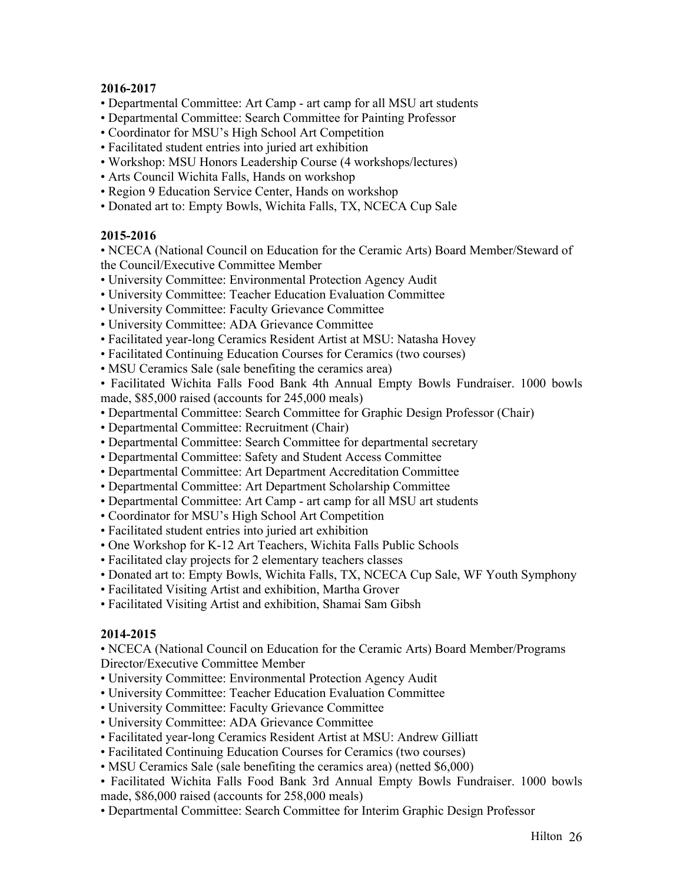- Departmental Committee: Art Camp art camp for all MSU art students
- Departmental Committee: Search Committee for Painting Professor
- Coordinator for MSU's High School Art Competition
- Facilitated student entries into juried art exhibition
- Workshop: MSU Honors Leadership Course (4 workshops/lectures)
- Arts Council Wichita Falls, Hands on workshop
- Region 9 Education Service Center, Hands on workshop
- Donated art to: Empty Bowls, Wichita Falls, TX, NCECA Cup Sale

### **2015-2016**

• NCECA (National Council on Education for the Ceramic Arts) Board Member/Steward of the Council/Executive Committee Member

- University Committee: Environmental Protection Agency Audit
- University Committee: Teacher Education Evaluation Committee
- University Committee: Faculty Grievance Committee
- University Committee: ADA Grievance Committee
- Facilitated year-long Ceramics Resident Artist at MSU: Natasha Hovey
- Facilitated Continuing Education Courses for Ceramics (two courses)
- MSU Ceramics Sale (sale benefiting the ceramics area)
- Facilitated Wichita Falls Food Bank 4th Annual Empty Bowls Fundraiser. 1000 bowls made, \$85,000 raised (accounts for 245,000 meals)
- Departmental Committee: Search Committee for Graphic Design Professor (Chair)
- Departmental Committee: Recruitment (Chair)
- Departmental Committee: Search Committee for departmental secretary
- Departmental Committee: Safety and Student Access Committee
- Departmental Committee: Art Department Accreditation Committee
- Departmental Committee: Art Department Scholarship Committee
- Departmental Committee: Art Camp art camp for all MSU art students
- Coordinator for MSU's High School Art Competition
- Facilitated student entries into juried art exhibition
- One Workshop for K-12 Art Teachers, Wichita Falls Public Schools
- Facilitated clay projects for 2 elementary teachers classes
- Donated art to: Empty Bowls, Wichita Falls, TX, NCECA Cup Sale, WF Youth Symphony
- Facilitated Visiting Artist and exhibition, Martha Grover
- Facilitated Visiting Artist and exhibition, Shamai Sam Gibsh

# **2014-2015**

• NCECA (National Council on Education for the Ceramic Arts) Board Member/Programs Director/Executive Committee Member

- University Committee: Environmental Protection Agency Audit
- University Committee: Teacher Education Evaluation Committee
- University Committee: Faculty Grievance Committee
- University Committee: ADA Grievance Committee
- Facilitated year-long Ceramics Resident Artist at MSU: Andrew Gilliatt
- Facilitated Continuing Education Courses for Ceramics (two courses)
- MSU Ceramics Sale (sale benefiting the ceramics area) (netted \$6,000)
- Facilitated Wichita Falls Food Bank 3rd Annual Empty Bowls Fundraiser. 1000 bowls made, \$86,000 raised (accounts for 258,000 meals)
- Departmental Committee: Search Committee for Interim Graphic Design Professor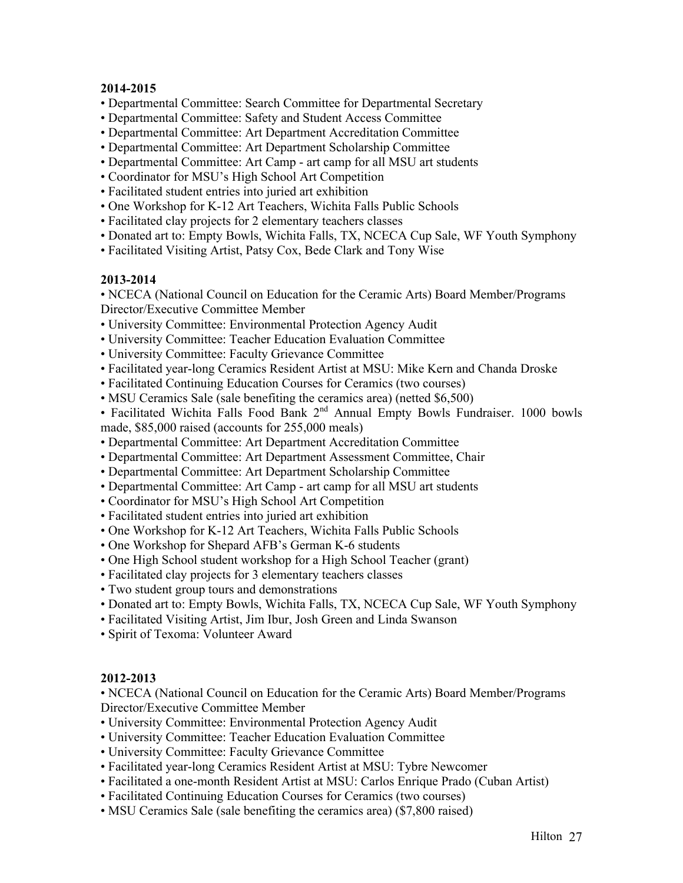- Departmental Committee: Search Committee for Departmental Secretary
- Departmental Committee: Safety and Student Access Committee
- Departmental Committee: Art Department Accreditation Committee
- Departmental Committee: Art Department Scholarship Committee
- Departmental Committee: Art Camp art camp for all MSU art students
- Coordinator for MSU's High School Art Competition
- Facilitated student entries into juried art exhibition
- One Workshop for K-12 Art Teachers, Wichita Falls Public Schools
- Facilitated clay projects for 2 elementary teachers classes
- Donated art to: Empty Bowls, Wichita Falls, TX, NCECA Cup Sale, WF Youth Symphony
- Facilitated Visiting Artist, Patsy Cox, Bede Clark and Tony Wise

### **2013-2014**

• NCECA (National Council on Education for the Ceramic Arts) Board Member/Programs Director/Executive Committee Member

- University Committee: Environmental Protection Agency Audit
- University Committee: Teacher Education Evaluation Committee
- University Committee: Faculty Grievance Committee
- Facilitated year-long Ceramics Resident Artist at MSU: Mike Kern and Chanda Droske
- Facilitated Continuing Education Courses for Ceramics (two courses)
- MSU Ceramics Sale (sale benefiting the ceramics area) (netted \$6,500)
- Facilitated Wichita Falls Food Bank 2<sup>nd</sup> Annual Empty Bowls Fundraiser. 1000 bowls made, \$85,000 raised (accounts for 255,000 meals)
- Departmental Committee: Art Department Accreditation Committee
- Departmental Committee: Art Department Assessment Committee, Chair
- Departmental Committee: Art Department Scholarship Committee
- Departmental Committee: Art Camp art camp for all MSU art students
- Coordinator for MSU's High School Art Competition
- Facilitated student entries into juried art exhibition
- One Workshop for K-12 Art Teachers, Wichita Falls Public Schools
- One Workshop for Shepard AFB's German K-6 students
- One High School student workshop for a High School Teacher (grant)
- Facilitated clay projects for 3 elementary teachers classes
- Two student group tours and demonstrations
- Donated art to: Empty Bowls, Wichita Falls, TX, NCECA Cup Sale, WF Youth Symphony
- Facilitated Visiting Artist, Jim Ibur, Josh Green and Linda Swanson
- Spirit of Texoma: Volunteer Award

# **2012-2013**

• NCECA (National Council on Education for the Ceramic Arts) Board Member/Programs Director/Executive Committee Member

- University Committee: Environmental Protection Agency Audit
- University Committee: Teacher Education Evaluation Committee
- University Committee: Faculty Grievance Committee
- Facilitated year-long Ceramics Resident Artist at MSU: Tybre Newcomer
- Facilitated a one-month Resident Artist at MSU: Carlos Enrique Prado (Cuban Artist)
- Facilitated Continuing Education Courses for Ceramics (two courses)
- MSU Ceramics Sale (sale benefiting the ceramics area) (\$7,800 raised)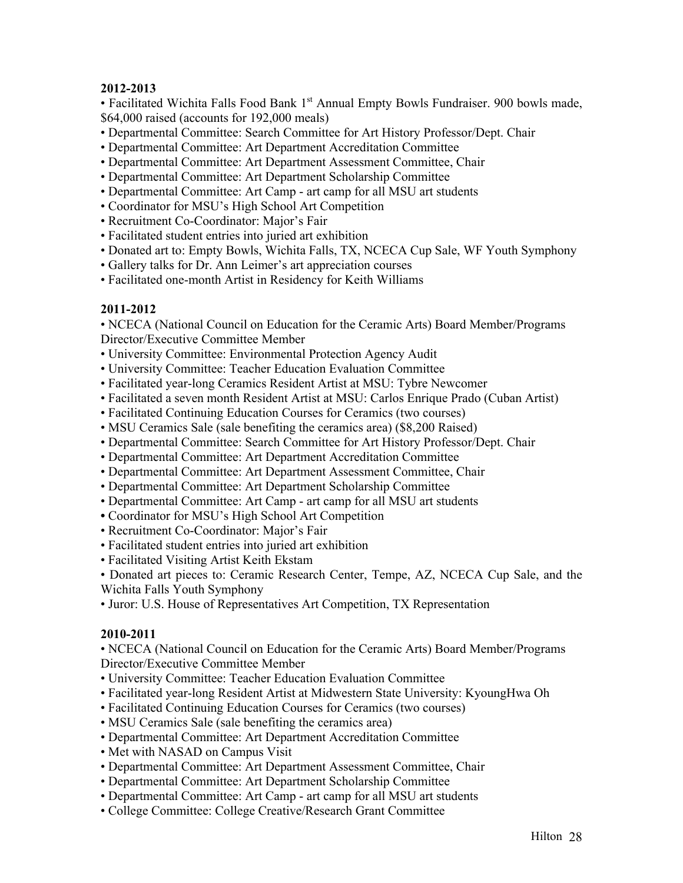• Facilitated Wichita Falls Food Bank 1<sup>st</sup> Annual Empty Bowls Fundraiser. 900 bowls made, \$64,000 raised (accounts for 192,000 meals)

- Departmental Committee: Search Committee for Art History Professor/Dept. Chair
- Departmental Committee: Art Department Accreditation Committee
- Departmental Committee: Art Department Assessment Committee, Chair
- Departmental Committee: Art Department Scholarship Committee
- Departmental Committee: Art Camp art camp for all MSU art students
- Coordinator for MSU's High School Art Competition
- Recruitment Co-Coordinator: Major's Fair
- Facilitated student entries into juried art exhibition
- Donated art to: Empty Bowls, Wichita Falls, TX, NCECA Cup Sale, WF Youth Symphony
- Gallery talks for Dr. Ann Leimer's art appreciation courses
- Facilitated one-month Artist in Residency for Keith Williams

# **2011-2012**

• NCECA (National Council on Education for the Ceramic Arts) Board Member/Programs Director/Executive Committee Member

- University Committee: Environmental Protection Agency Audit
- University Committee: Teacher Education Evaluation Committee
- Facilitated year-long Ceramics Resident Artist at MSU: Tybre Newcomer
- Facilitated a seven month Resident Artist at MSU: Carlos Enrique Prado (Cuban Artist)
- Facilitated Continuing Education Courses for Ceramics (two courses)
- MSU Ceramics Sale (sale benefiting the ceramics area) (\$8,200 Raised)
- Departmental Committee: Search Committee for Art History Professor/Dept. Chair
- Departmental Committee: Art Department Accreditation Committee
- Departmental Committee: Art Department Assessment Committee, Chair
- Departmental Committee: Art Department Scholarship Committee
- Departmental Committee: Art Camp art camp for all MSU art students
- Coordinator for MSU's High School Art Competition
- Recruitment Co-Coordinator: Major's Fair
- Facilitated student entries into juried art exhibition
- Facilitated Visiting Artist Keith Ekstam

• Donated art pieces to: Ceramic Research Center, Tempe, AZ, NCECA Cup Sale, and the Wichita Falls Youth Symphony

• Juror: U.S. House of Representatives Art Competition, TX Representation

# **2010-2011**

• NCECA (National Council on Education for the Ceramic Arts) Board Member/Programs Director/Executive Committee Member

- University Committee: Teacher Education Evaluation Committee
- Facilitated year-long Resident Artist at Midwestern State University: KyoungHwa Oh
- Facilitated Continuing Education Courses for Ceramics (two courses)
- MSU Ceramics Sale (sale benefiting the ceramics area)
- Departmental Committee: Art Department Accreditation Committee
- Met with NASAD on Campus Visit
- Departmental Committee: Art Department Assessment Committee, Chair
- Departmental Committee: Art Department Scholarship Committee
- Departmental Committee: Art Camp art camp for all MSU art students
- College Committee: College Creative/Research Grant Committee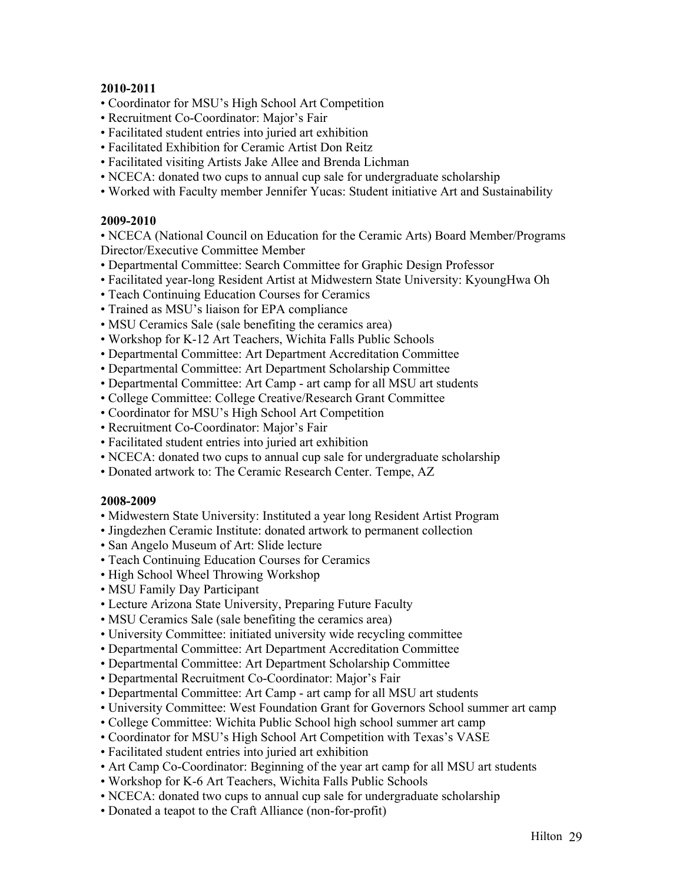- Coordinator for MSU's High School Art Competition
- Recruitment Co-Coordinator: Major's Fair
- Facilitated student entries into juried art exhibition
- Facilitated Exhibition for Ceramic Artist Don Reitz
- Facilitated visiting Artists Jake Allee and Brenda Lichman
- NCECA: donated two cups to annual cup sale for undergraduate scholarship
- Worked with Faculty member Jennifer Yucas: Student initiative Art and Sustainability

### **2009-2010**

• NCECA (National Council on Education for the Ceramic Arts) Board Member/Programs Director/Executive Committee Member

- Departmental Committee: Search Committee for Graphic Design Professor
- Facilitated year-long Resident Artist at Midwestern State University: KyoungHwa Oh
- Teach Continuing Education Courses for Ceramics
- Trained as MSU's liaison for EPA compliance
- MSU Ceramics Sale (sale benefiting the ceramics area)
- Workshop for K-12 Art Teachers, Wichita Falls Public Schools
- Departmental Committee: Art Department Accreditation Committee
- Departmental Committee: Art Department Scholarship Committee
- Departmental Committee: Art Camp art camp for all MSU art students
- College Committee: College Creative/Research Grant Committee
- Coordinator for MSU's High School Art Competition
- Recruitment Co-Coordinator: Major's Fair
- Facilitated student entries into juried art exhibition
- NCECA: donated two cups to annual cup sale for undergraduate scholarship
- Donated artwork to: The Ceramic Research Center. Tempe, AZ

### **2008-2009**

- Midwestern State University: Instituted a year long Resident Artist Program
- Jingdezhen Ceramic Institute: donated artwork to permanent collection
- San Angelo Museum of Art: Slide lecture
- Teach Continuing Education Courses for Ceramics
- High School Wheel Throwing Workshop
- MSU Family Day Participant
- Lecture Arizona State University, Preparing Future Faculty
- MSU Ceramics Sale (sale benefiting the ceramics area)
- University Committee: initiated university wide recycling committee
- Departmental Committee: Art Department Accreditation Committee
- Departmental Committee: Art Department Scholarship Committee
- Departmental Recruitment Co-Coordinator: Major's Fair
- Departmental Committee: Art Camp art camp for all MSU art students
- University Committee: West Foundation Grant for Governors School summer art camp
- College Committee: Wichita Public School high school summer art camp
- Coordinator for MSU's High School Art Competition with Texas's VASE
- Facilitated student entries into juried art exhibition
- Art Camp Co-Coordinator: Beginning of the year art camp for all MSU art students
- Workshop for K-6 Art Teachers, Wichita Falls Public Schools
- NCECA: donated two cups to annual cup sale for undergraduate scholarship
- Donated a teapot to the Craft Alliance (non-for-profit)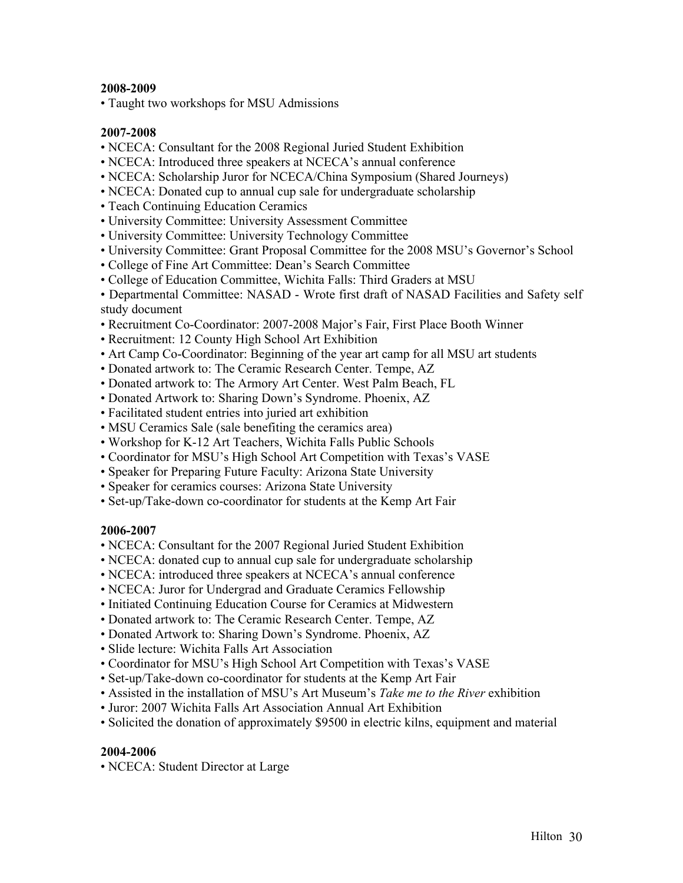• Taught two workshops for MSU Admissions

### **2007-2008**

- NCECA: Consultant for the 2008 Regional Juried Student Exhibition
- NCECA: Introduced three speakers at NCECA's annual conference
- NCECA: Scholarship Juror for NCECA/China Symposium (Shared Journeys)
- NCECA: Donated cup to annual cup sale for undergraduate scholarship
- Teach Continuing Education Ceramics
- University Committee: University Assessment Committee
- University Committee: University Technology Committee
- University Committee: Grant Proposal Committee for the 2008 MSU's Governor's School
- College of Fine Art Committee: Dean's Search Committee
- College of Education Committee, Wichita Falls: Third Graders at MSU
- Departmental Committee: NASAD Wrote first draft of NASAD Facilities and Safety self study document
- Recruitment Co-Coordinator: 2007-2008 Major's Fair, First Place Booth Winner
- Recruitment: 12 County High School Art Exhibition
- Art Camp Co-Coordinator: Beginning of the year art camp for all MSU art students
- Donated artwork to: The Ceramic Research Center. Tempe, AZ
- Donated artwork to: The Armory Art Center. West Palm Beach, FL
- Donated Artwork to: Sharing Down's Syndrome. Phoenix, AZ
- Facilitated student entries into juried art exhibition
- MSU Ceramics Sale (sale benefiting the ceramics area)
- Workshop for K-12 Art Teachers, Wichita Falls Public Schools
- Coordinator for MSU's High School Art Competition with Texas's VASE
- Speaker for Preparing Future Faculty: Arizona State University
- Speaker for ceramics courses: Arizona State University
- Set-up/Take-down co-coordinator for students at the Kemp Art Fair

# **2006-2007**

- NCECA: Consultant for the 2007 Regional Juried Student Exhibition
- NCECA: donated cup to annual cup sale for undergraduate scholarship
- NCECA: introduced three speakers at NCECA's annual conference
- NCECA: Juror for Undergrad and Graduate Ceramics Fellowship
- Initiated Continuing Education Course for Ceramics at Midwestern
- Donated artwork to: The Ceramic Research Center. Tempe, AZ
- Donated Artwork to: Sharing Down's Syndrome. Phoenix, AZ
- Slide lecture: Wichita Falls Art Association
- Coordinator for MSU's High School Art Competition with Texas's VASE
- Set-up/Take-down co-coordinator for students at the Kemp Art Fair
- Assisted in the installation of MSU's Art Museum's *Take me to the River* exhibition
- Juror: 2007 Wichita Falls Art Association Annual Art Exhibition
- Solicited the donation of approximately \$9500 in electric kilns, equipment and material

# **2004-2006**

• NCECA: Student Director at Large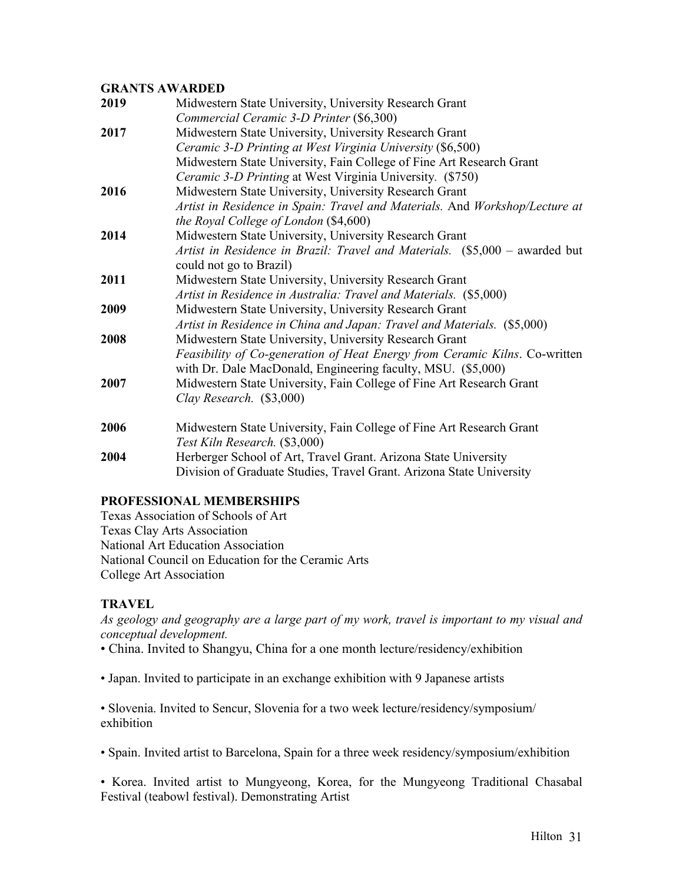# **GRANTS AWARDED**

| 2019 | Midwestern State University, University Research Grant                                                 |
|------|--------------------------------------------------------------------------------------------------------|
|      | Commercial Ceramic 3-D Printer (\$6,300)                                                               |
| 2017 | Midwestern State University, University Research Grant                                                 |
|      | Ceramic 3-D Printing at West Virginia University (\$6,500)                                             |
|      | Midwestern State University, Fain College of Fine Art Research Grant                                   |
|      | Ceramic 3-D Printing at West Virginia University. (\$750)                                              |
| 2016 | Midwestern State University, University Research Grant                                                 |
|      | Artist in Residence in Spain: Travel and Materials. And Workshop/Lecture at                            |
|      | the Royal College of London (\$4,600)                                                                  |
| 2014 | Midwestern State University, University Research Grant                                                 |
|      | Artist in Residence in Brazil: Travel and Materials. (\$5,000 - awarded but<br>could not go to Brazil) |
| 2011 | Midwestern State University, University Research Grant                                                 |
|      | Artist in Residence in Australia: Travel and Materials. (\$5,000)                                      |
| 2009 | Midwestern State University, University Research Grant                                                 |
|      | Artist in Residence in China and Japan: Travel and Materials. (\$5,000)                                |
| 2008 | Midwestern State University, University Research Grant                                                 |
|      | Feasibility of Co-generation of Heat Energy from Ceramic Kilns. Co-written                             |
|      | with Dr. Dale MacDonald, Engineering faculty, MSU. (\$5,000)                                           |
| 2007 | Midwestern State University, Fain College of Fine Art Research Grant                                   |
|      | Clay Research. $(\$3,000)$                                                                             |
| 2006 | Midwestern State University, Fain College of Fine Art Research Grant                                   |
|      | Test Kiln Research. (\$3,000)                                                                          |
| 2004 | Herberger School of Art, Travel Grant. Arizona State University                                        |
|      | Division of Graduate Studies, Travel Grant. Arizona State University                                   |
|      |                                                                                                        |

# **PROFESSIONAL MEMBERSHIPS**

Texas Association of Schools of Art Texas Clay Arts Association National Art Education Association National Council on Education for the Ceramic Arts College Art Association

# **TRAVEL**

*As geology and geography are a large part of my work, travel is important to my visual and conceptual development.*

• China. Invited to Shangyu, China for a one month lecture/residency/exhibition

• Japan. Invited to participate in an exchange exhibition with 9 Japanese artists

• Slovenia. Invited to Sencur, Slovenia for a two week lecture/residency/symposium/ exhibition

• Spain. Invited artist to Barcelona, Spain for a three week residency/symposium/exhibition

• Korea. Invited artist to Mungyeong, Korea, for the Mungyeong Traditional Chasabal Festival (teabowl festival). Demonstrating Artist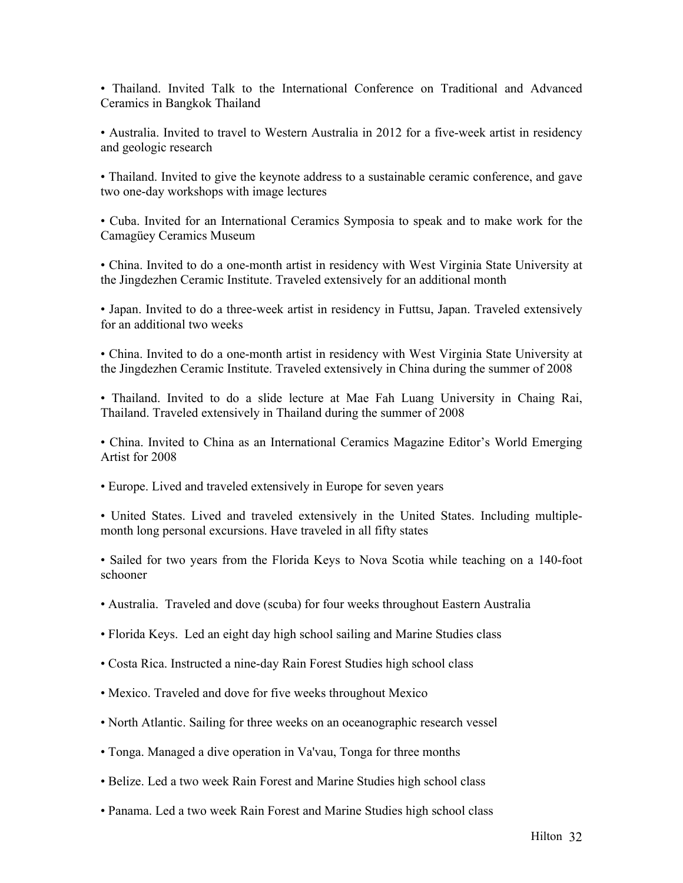• Thailand. Invited Talk to the International Conference on Traditional and Advanced Ceramics in Bangkok Thailand

• Australia. Invited to travel to Western Australia in 2012 for a five-week artist in residency and geologic research

• Thailand. Invited to give the keynote address to a sustainable ceramic conference, and gave two one-day workshops with image lectures

• Cuba. Invited for an International Ceramics Symposia to speak and to make work for the Camagüey Ceramics Museum

• China. Invited to do a one-month artist in residency with West Virginia State University at the Jingdezhen Ceramic Institute. Traveled extensively for an additional month

• Japan. Invited to do a three-week artist in residency in Futtsu, Japan. Traveled extensively for an additional two weeks

• China. Invited to do a one-month artist in residency with West Virginia State University at the Jingdezhen Ceramic Institute. Traveled extensively in China during the summer of 2008

• Thailand. Invited to do a slide lecture at Mae Fah Luang University in Chaing Rai, Thailand. Traveled extensively in Thailand during the summer of 2008

• China. Invited to China as an International Ceramics Magazine Editor's World Emerging Artist for 2008

• Europe. Lived and traveled extensively in Europe for seven years

• United States. Lived and traveled extensively in the United States. Including multiplemonth long personal excursions. Have traveled in all fifty states

• Sailed for two years from the Florida Keys to Nova Scotia while teaching on a 140-foot schooner

- Australia. Traveled and dove (scuba) for four weeks throughout Eastern Australia
- Florida Keys. Led an eight day high school sailing and Marine Studies class
- Costa Rica. Instructed a nine-day Rain Forest Studies high school class
- Mexico. Traveled and dove for five weeks throughout Mexico
- North Atlantic. Sailing for three weeks on an oceanographic research vessel
- Tonga. Managed a dive operation in Va'vau, Tonga for three months
- Belize. Led a two week Rain Forest and Marine Studies high school class
- Panama. Led a two week Rain Forest and Marine Studies high school class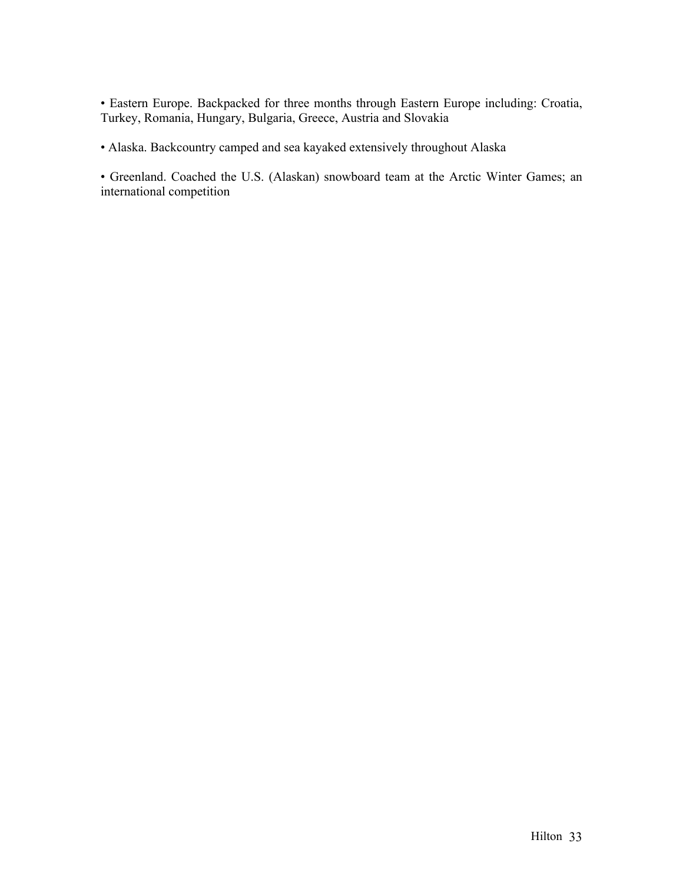• Eastern Europe. Backpacked for three months through Eastern Europe including: Croatia, Turkey, Romania, Hungary, Bulgaria, Greece, Austria and Slovakia

• Alaska. Backcountry camped and sea kayaked extensively throughout Alaska

• Greenland. Coached the U.S. (Alaskan) snowboard team at the Arctic Winter Games; an international competition